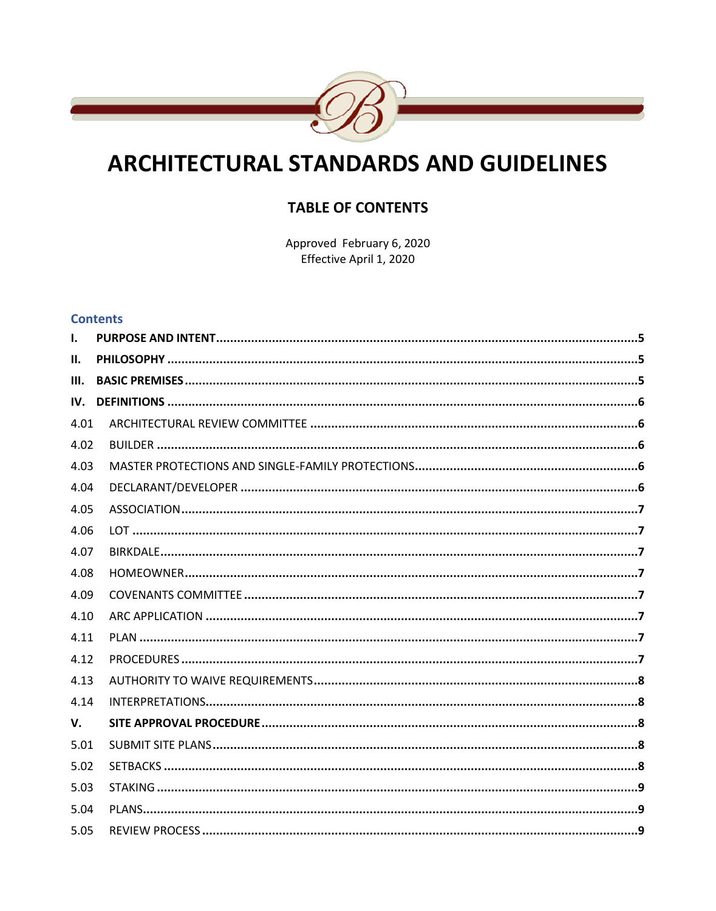

# **ARCHITECTURAL STANDARDS AND GUIDELINES**

# **TABLE OF CONTENTS**

Approved February 6, 2020 Effective April 1, 2020

#### **Contents**

| $\mathbf{I}$ . |  |
|----------------|--|
| П.             |  |
| III.           |  |
| IV.            |  |
| 4.01           |  |
| 4.02           |  |
| 4.03           |  |
| 4.04           |  |
| 4.05           |  |
| 4.06           |  |
| 4.07           |  |
| 4.08           |  |
| 4.09           |  |
| 4.10           |  |
| 4.11           |  |
| 4.12           |  |
| 4.13           |  |
| 4.14           |  |
| V.             |  |
| 5.01           |  |
| 5.02           |  |
| 5.03           |  |
| 5.04           |  |
| 5.05           |  |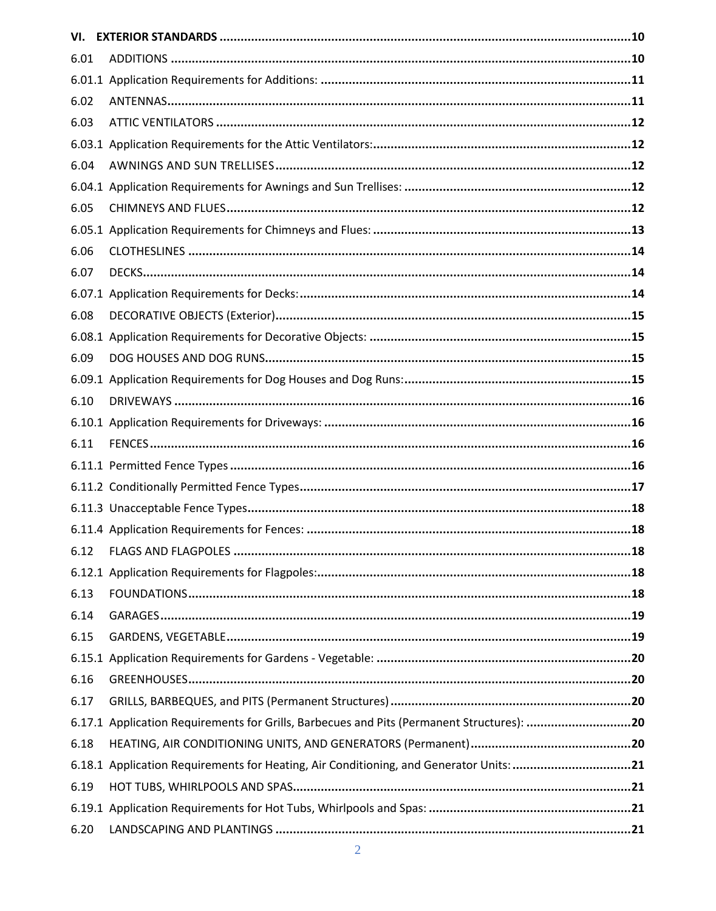| VI.  |                                                                                           |
|------|-------------------------------------------------------------------------------------------|
| 6.01 |                                                                                           |
|      |                                                                                           |
| 6.02 |                                                                                           |
| 6.03 |                                                                                           |
|      |                                                                                           |
| 6.04 |                                                                                           |
|      |                                                                                           |
| 6.05 |                                                                                           |
|      |                                                                                           |
| 6.06 |                                                                                           |
| 6.07 |                                                                                           |
|      |                                                                                           |
| 6.08 |                                                                                           |
|      |                                                                                           |
| 6.09 |                                                                                           |
|      |                                                                                           |
| 6.10 |                                                                                           |
|      |                                                                                           |
| 6.11 |                                                                                           |
|      |                                                                                           |
|      |                                                                                           |
|      |                                                                                           |
|      |                                                                                           |
|      |                                                                                           |
|      |                                                                                           |
| 6.13 |                                                                                           |
| 6.14 |                                                                                           |
| 6.15 |                                                                                           |
|      |                                                                                           |
| 6.16 |                                                                                           |
| 6.17 |                                                                                           |
|      | 6.17.1 Application Requirements for Grills, Barbecues and Pits (Permanent Structures): 20 |
| 6.18 |                                                                                           |
|      | 6.18.1 Application Requirements for Heating, Air Conditioning, and Generator Units: 21    |
| 6.19 |                                                                                           |
|      |                                                                                           |
| 6.20 |                                                                                           |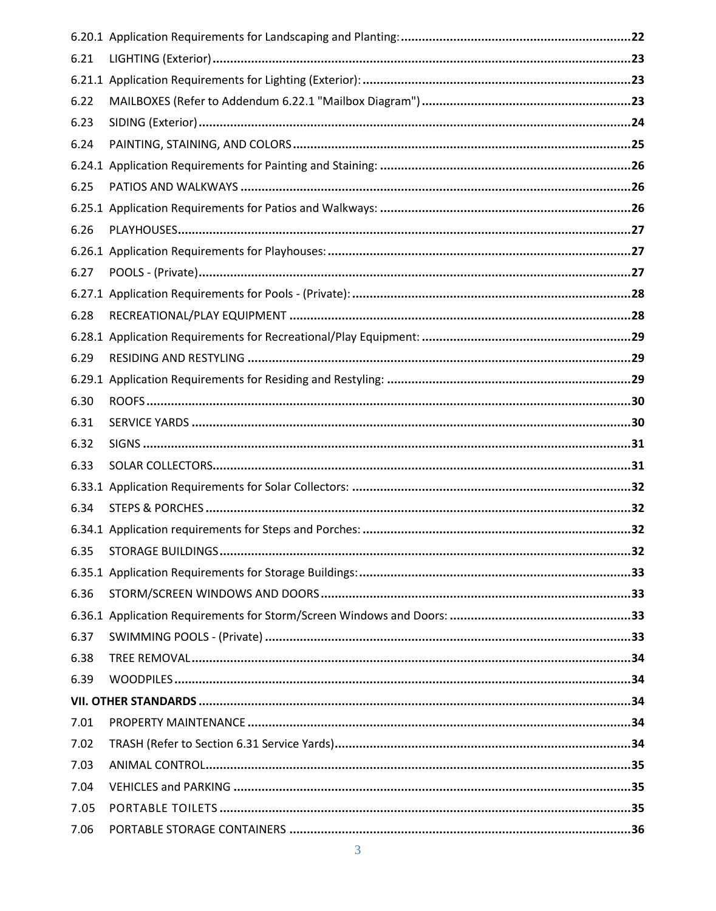| 6.21 |  |
|------|--|
|      |  |
| 6.22 |  |
| 6.23 |  |
| 6.24 |  |
|      |  |
| 6.25 |  |
|      |  |
| 6.26 |  |
|      |  |
| 6.27 |  |
|      |  |
| 6.28 |  |
|      |  |
| 6.29 |  |
|      |  |
| 6.30 |  |
| 6.31 |  |
| 6.32 |  |
| 6.33 |  |
|      |  |
| 6.34 |  |
|      |  |
|      |  |
|      |  |
| 6.36 |  |
|      |  |
| 6.37 |  |
| 6.38 |  |
| 6.39 |  |
|      |  |
| 7.01 |  |
| 7.02 |  |
| 7.03 |  |
| 7.04 |  |
| 7.05 |  |
| 7.06 |  |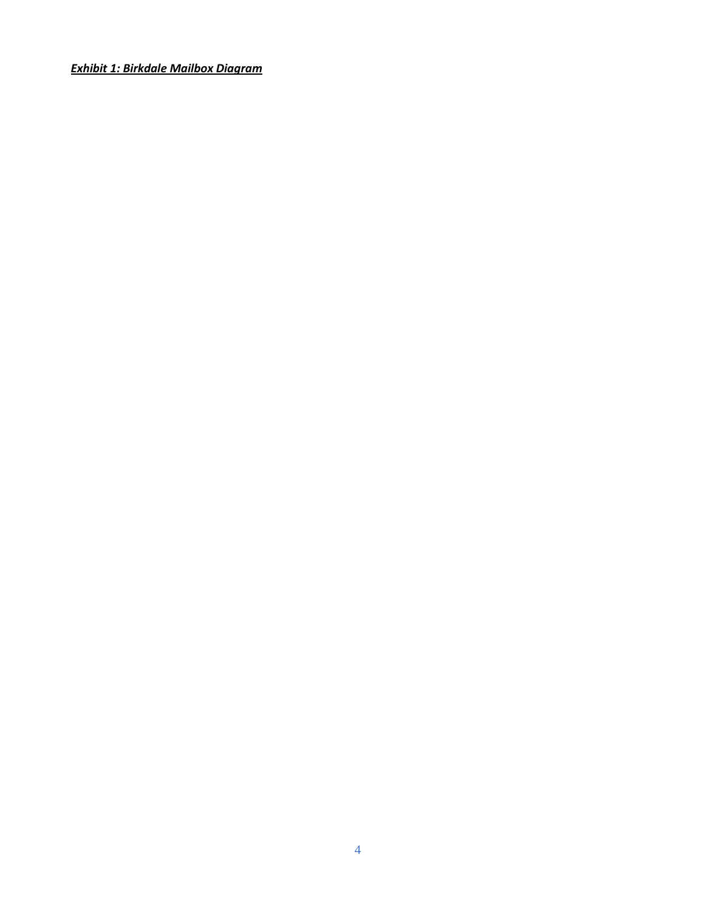*Exhibit 1: Birkdale Mailbox Diagram*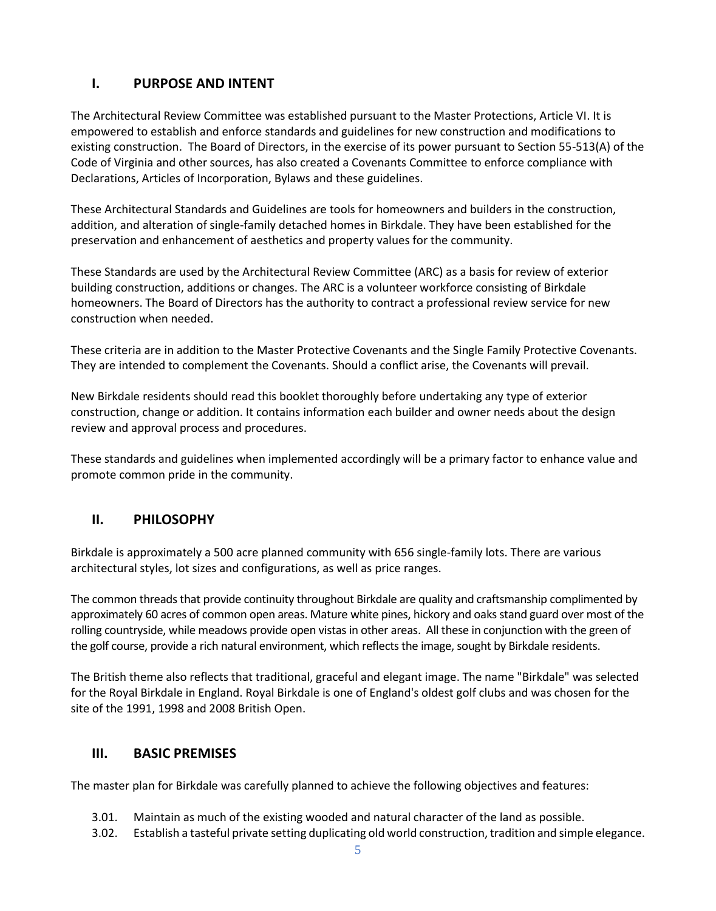# <span id="page-4-0"></span>**I. PURPOSE AND INTENT**

The Architectural Review Committee was established pursuant to the Master Protections, Article VI. It is empowered to establish and enforce standards and guidelines for new construction and modifications to existing construction. The Board of Directors, in the exercise of its power pursuant to Section 55-513(A) of the Code of Virginia and other sources, has also created a Covenants Committee to enforce compliance with Declarations, Articles of Incorporation, Bylaws and these guidelines.

These Architectural Standards and Guidelines are tools for homeowners and builders in the construction, addition, and alteration of single-family detached homes in Birkdale. They have been established for the preservation and enhancement of aesthetics and property values for the community.

These Standards are used by the Architectural Review Committee (ARC) as a basis for review of exterior building construction, additions or changes. The ARC is a volunteer workforce consisting of Birkdale homeowners. The Board of Directors has the authority to contract a professional review service for new construction when needed.

These criteria are in addition to the Master Protective Covenants and the Single Family Protective Covenants. They are intended to complement the Covenants. Should a conflict arise, the Covenants will prevail.

New Birkdale residents should read this booklet thoroughly before undertaking any type of exterior construction, change or addition. It contains information each builder and owner needs about the design review and approval process and procedures.

<span id="page-4-1"></span>These standards and guidelines when implemented accordingly will be a primary factor to enhance value and promote common pride in the community.

## **II. PHILOSOPHY**

Birkdale is approximately a 500 acre planned community with 656 single-family lots. There are various architectural styles, lot sizes and configurations, as well as price ranges.

The common threads that provide continuity throughout Birkdale are quality and craftsmanship complimented by approximately 60 acres of common open areas. Mature white pines, hickory and oaks stand guard over most of the rolling countryside, while meadows provide open vistas in other areas. All these in conjunction with the green of the golf course, provide a rich natural environment, which reflects the image, sought by Birkdale residents.

The British theme also reflects that traditional, graceful and elegant image. The name "Birkdale" was selected for the Royal Birkdale in England. Royal Birkdale is one of England's oldest golf clubs and was chosen for the site of the 1991, 1998 and 2008 British Open.

#### <span id="page-4-2"></span>**III. BASIC PREMISES**

The master plan for Birkdale was carefully planned to achieve the following objectives and features:

- 3.01. Maintain as much of the existing wooded and natural character of the land as possible.
- 3.02. Establish a tasteful private setting duplicating old world construction, tradition and simple elegance.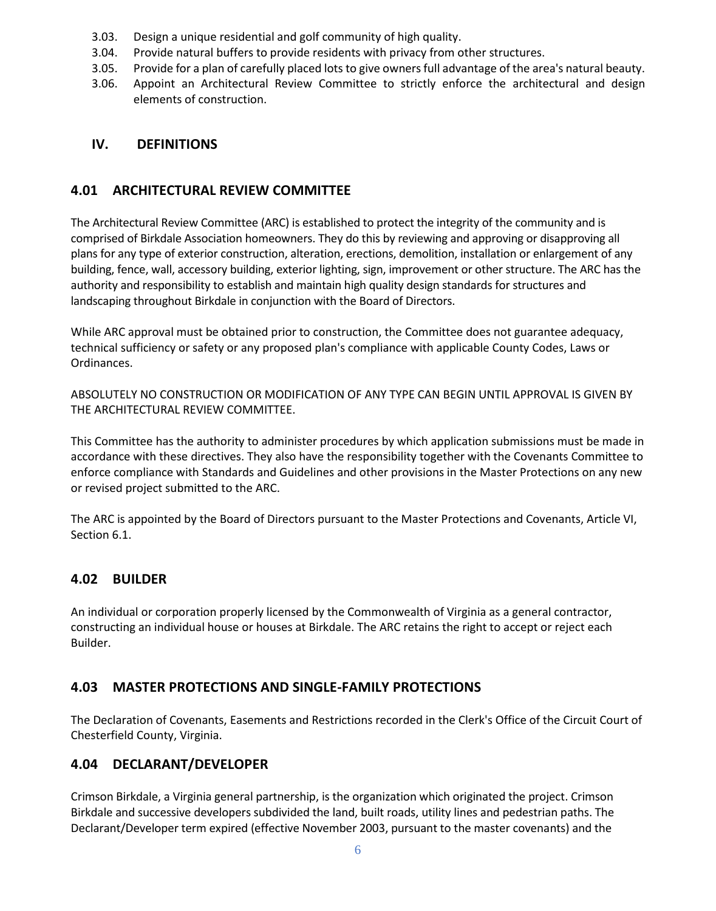- 3.03. Design a unique residential and golf community of high quality.
- 3.04. Provide natural buffers to provide residents with privacy from other structures.
- 3.05. Provide for a plan of carefully placed lots to give owners full advantage of the area's natural beauty.
- 3.06. Appoint an Architectural Review Committee to strictly enforce the architectural and design elements of construction.

## <span id="page-5-0"></span>**IV. DEFINITIONS**

#### <span id="page-5-1"></span>**4.01 ARCHITECTURAL REVIEW COMMITTEE**

The Architectural Review Committee (ARC) is established to protect the integrity of the community and is comprised of Birkdale Association homeowners. They do this by reviewing and approving or disapproving all plans for any type of exterior construction, alteration, erections, demolition, installation or enlargement of any building, fence, wall, accessory building, exterior lighting, sign, improvement or other structure. The ARC has the authority and responsibility to establish and maintain high quality design standards for structures and landscaping throughout Birkdale in conjunction with the Board of Directors.

While ARC approval must be obtained prior to construction, the Committee does not guarantee adequacy, technical sufficiency or safety or any proposed plan's compliance with applicable County Codes, Laws or Ordinances.

ABSOLUTELY NO CONSTRUCTION OR MODIFICATION OF ANY TYPE CAN BEGIN UNTIL APPROVAL IS GIVEN BY THE ARCHITECTURAL REVIEW COMMITTEE.

This Committee has the authority to administer procedures by which application submissions must be made in accordance with these directives. They also have the responsibility together with the Covenants Committee to enforce compliance with Standards and Guidelines and other provisions in the Master Protections on any new or revised project submitted to the ARC.

The ARC is appointed by the Board of Directors pursuant to the Master Protections and Covenants, Article VI, Section 6.1.

## <span id="page-5-2"></span>**4.02 BUILDER**

An individual or corporation properly licensed by the Commonwealth of Virginia as a general contractor, constructing an individual house or houses at Birkdale. The ARC retains the right to accept or reject each Builder.

## <span id="page-5-3"></span>**4.03 MASTER PROTECTIONS AND SINGLE-FAMILY PROTECTIONS**

The Declaration of Covenants, Easements and Restrictions recorded in the Clerk's Office of the Circuit Court of Chesterfield County, Virginia.

#### <span id="page-5-4"></span>**4.04 DECLARANT/DEVELOPER**

Crimson Birkdale, a Virginia general partnership, is the organization which originated the project. Crimson Birkdale and successive developers subdivided the land, built roads, utility lines and pedestrian paths. The Declarant/Developer term expired (effective November 2003, pursuant to the master covenants) and the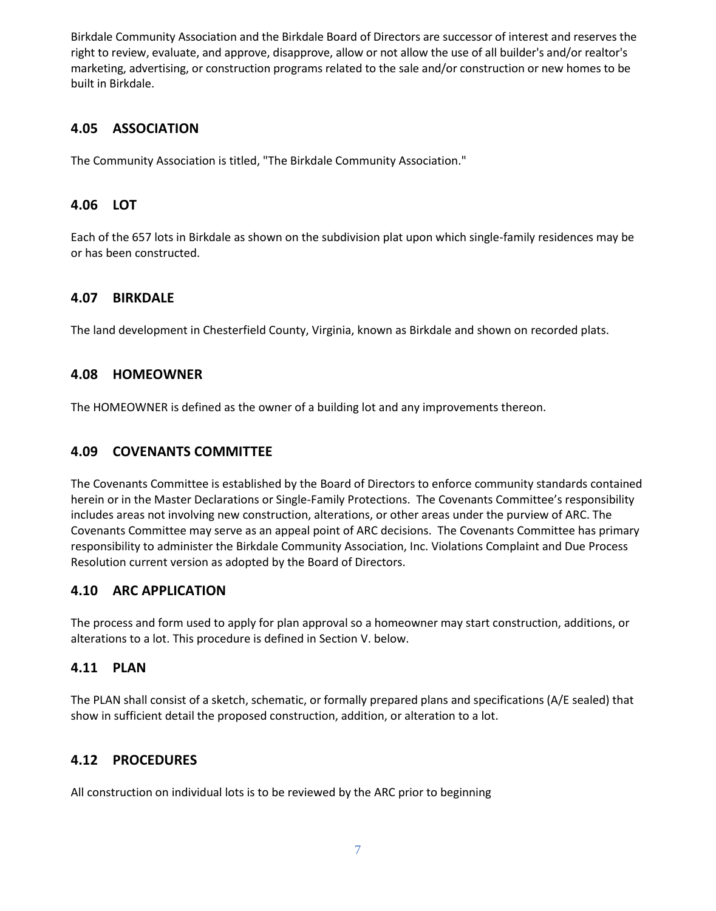Birkdale Community Association and the Birkdale Board of Directors are successor of interest and reserves the right to review, evaluate, and approve, disapprove, allow or not allow the use of all builder's and/or realtor's marketing, advertising, or construction programs related to the sale and/or construction or new homes to be built in Birkdale.

## <span id="page-6-0"></span>**4.05 ASSOCIATION**

The Community Association is titled, "The Birkdale Community Association."

#### <span id="page-6-1"></span>**4.06 LOT**

Each of the 657 lots in Birkdale as shown on the subdivision plat upon which single-family residences may be or has been constructed.

## <span id="page-6-2"></span>**4.07 BIRKDALE**

The land development in Chesterfield County, Virginia, known as Birkdale and shown on recorded plats.

#### <span id="page-6-3"></span>**4.08 HOMEOWNER**

The HOMEOWNER is defined as the owner of a building lot and any improvements thereon.

#### <span id="page-6-4"></span>**4.09 COVENANTS COMMITTEE**

The Covenants Committee is established by the Board of Directors to enforce community standards contained herein or in the Master Declarations or Single-Family Protections. The Covenants Committee's responsibility includes areas not involving new construction, alterations, or other areas under the purview of ARC. The Covenants Committee may serve as an appeal point of ARC decisions. The Covenants Committee has primary responsibility to administer the Birkdale Community Association, Inc. Violations Complaint and Due Process Resolution current version as adopted by the Board of Directors.

#### <span id="page-6-5"></span>**4.10 ARC APPLICATION**

The process and form used to apply for plan approval so a homeowner may start construction, additions, or alterations to a lot. This procedure is defined in Section V. below.

## <span id="page-6-6"></span>**4.11 PLAN**

The PLAN shall consist of a sketch, schematic, or formally prepared plans and specifications (A/E sealed) that show in sufficient detail the proposed construction, addition, or alteration to a lot.

## <span id="page-6-7"></span>**4.12 PROCEDURES**

All construction on individual lots is to be reviewed by the ARC prior to beginning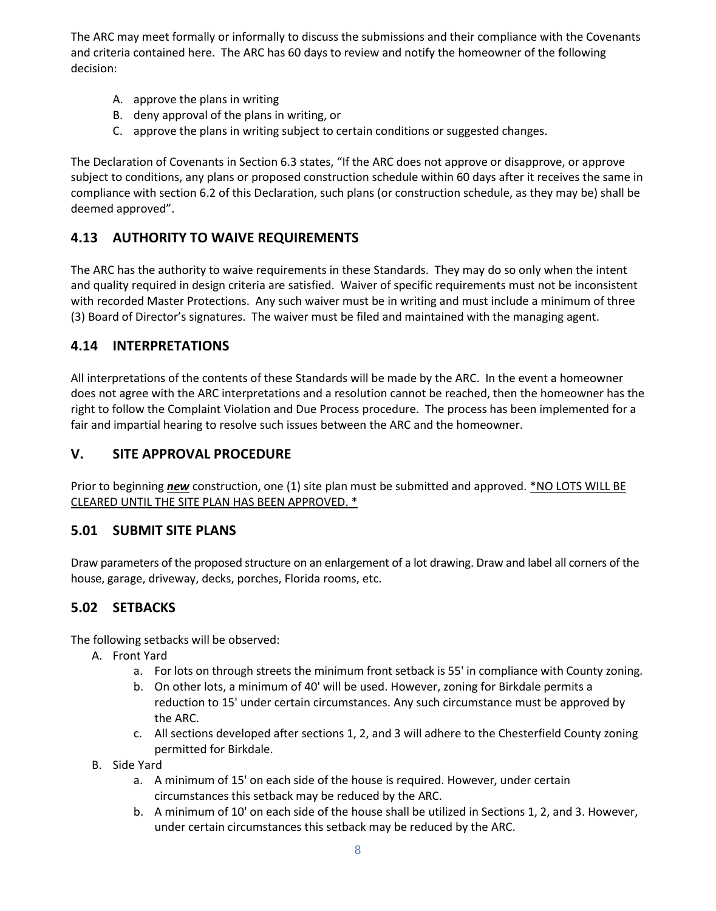The ARC may meet formally or informally to discuss the submissions and their compliance with the Covenants and criteria contained here. The ARC has 60 days to review and notify the homeowner of the following decision:

- A. approve the plans in writing
- B. deny approval of the plans in writing, or
- C. approve the plans in writing subject to certain conditions or suggested changes.

The Declaration of Covenants in Section 6.3 states, "If the ARC does not approve or disapprove, or approve subject to conditions, any plans or proposed construction schedule within 60 days after it receives the same in compliance with section 6.2 of this Declaration, such plans (or construction schedule, as they may be) shall be deemed approved".

# <span id="page-7-0"></span>**4.13 AUTHORITY TO WAIVE REQUIREMENTS**

The ARC has the authority to waive requirements in these Standards. They may do so only when the intent and quality required in design criteria are satisfied. Waiver of specific requirements must not be inconsistent with recorded Master Protections. Any such waiver must be in writing and must include a minimum of three (3) Board of Director's signatures. The waiver must be filed and maintained with the managing agent.

#### <span id="page-7-1"></span>**4.14 INTERPRETATIONS**

All interpretations of the contents of these Standards will be made by the ARC. In the event a homeowner does not agree with the ARC interpretations and a resolution cannot be reached, then the homeowner has the right to follow the Complaint Violation and Due Process procedure. The process has been implemented for a fair and impartial hearing to resolve such issues between the ARC and the homeowner.

#### <span id="page-7-2"></span>**V. SITE APPROVAL PROCEDURE**

Prior to beginning *new* construction, one (1) site plan must be submitted and approved. \*NO LOTS WILL BE CLEARED UNTIL THE SITE PLAN HAS BEEN APPROVED. \*

#### <span id="page-7-3"></span>**5.01 SUBMIT SITE PLANS**

Draw parameters of the proposed structure on an enlargement of a lot drawing. Draw and label all corners of the house, garage, driveway, decks, porches, Florida rooms, etc.

## <span id="page-7-4"></span>**5.02 SETBACKS**

The following setbacks will be observed:

- A. Front Yard
	- a. For lots on through streets the minimum front setback is 55' in compliance with County zoning.
	- b. On other lots, a minimum of 40' will be used. However, zoning for Birkdale permits a reduction to 15' under certain circumstances. Any such circumstance must be approved by the ARC.
	- c. All sections developed after sections 1, 2, and 3 will adhere to the Chesterfield County zoning permitted for Birkdale.
- B. Side Yard
	- a. A minimum of 15' on each side of the house is required. However, under certain circumstances this setback may be reduced by the ARC.
	- b. A minimum of 10' on each side of the house shall be utilized in Sections 1, 2, and 3. However, under certain circumstances this setback may be reduced by the ARC.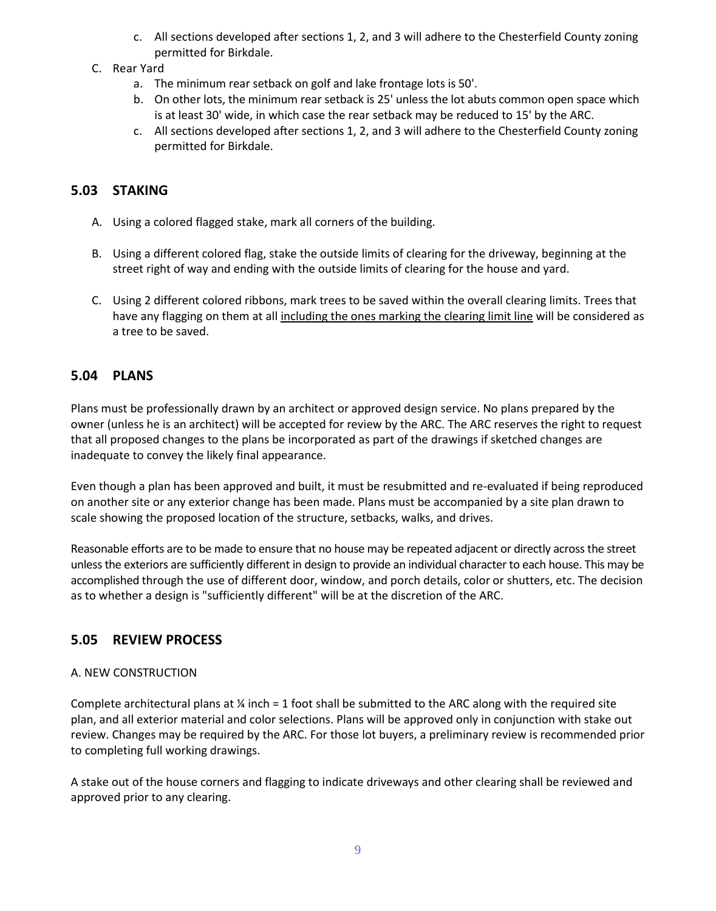- c. All sections developed after sections 1, 2, and 3 will adhere to the Chesterfield County zoning permitted for Birkdale.
- C. Rear Yard
	- a. The minimum rear setback on golf and lake frontage lots is 50'.
	- b. On other lots, the minimum rear setback is 25' unless the lot abuts common open space which is at least 30' wide, in which case the rear setback may be reduced to 15' by the ARC.
	- c. All sections developed after sections 1, 2, and 3 will adhere to the Chesterfield County zoning permitted for Birkdale.

## <span id="page-8-0"></span>**5.03 STAKING**

- A. Using a colored flagged stake, mark all corners of the building.
- B. Using a different colored flag, stake the outside limits of clearing for the driveway, beginning at the street right of way and ending with the outside limits of clearing for the house and yard.
- C. Using 2 different colored ribbons, mark trees to be saved within the overall clearing limits. Trees that have any flagging on them at all including the ones marking the clearing limit line will be considered as a tree to be saved.

## <span id="page-8-1"></span>**5.04 PLANS**

Plans must be professionally drawn by an architect or approved design service. No plans prepared by the owner (unless he is an architect) will be accepted for review by the ARC. The ARC reserves the right to request that all proposed changes to the plans be incorporated as part of the drawings if sketched changes are inadequate to convey the likely final appearance.

Even though a plan has been approved and built, it must be resubmitted and re-evaluated if being reproduced on another site or any exterior change has been made. Plans must be accompanied by a site plan drawn to scale showing the proposed location of the structure, setbacks, walks, and drives.

Reasonable efforts are to be made to ensure that no house may be repeated adjacent or directly across the street unless the exteriors are sufficiently different in design to provide an individual character to each house. This may be accomplished through the use of different door, window, and porch details, color or shutters, etc. The decision as to whether a design is "sufficiently different" will be at the discretion of the ARC.

## <span id="page-8-2"></span>**5.05 REVIEW PROCESS**

#### A. NEW CONSTRUCTION

Complete architectural plans at  $\frac{1}{4}$  inch = 1 foot shall be submitted to the ARC along with the required site plan, and all exterior material and color selections. Plans will be approved only in conjunction with stake out review. Changes may be required by the ARC. For those lot buyers, a preliminary review is recommended prior to completing full working drawings.

A stake out of the house corners and flagging to indicate driveways and other clearing shall be reviewed and approved prior to any clearing.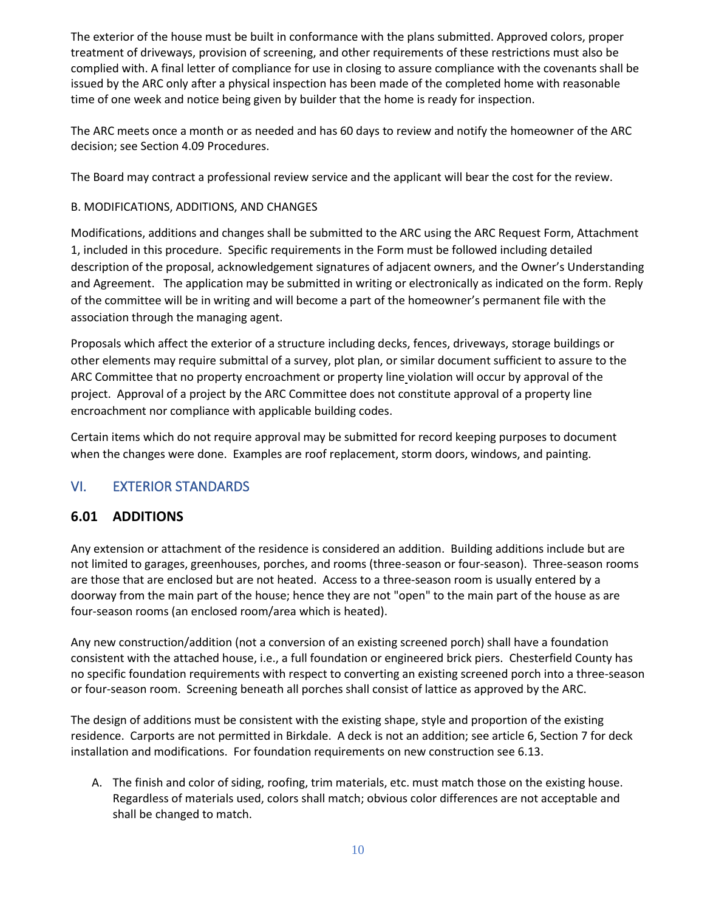The exterior of the house must be built in conformance with the plans submitted. Approved colors, proper treatment of driveways, provision of screening, and other requirements of these restrictions must also be complied with. A final letter of compliance for use in closing to assure compliance with the covenants shall be issued by the ARC only after a physical inspection has been made of the completed home with reasonable time of one week and notice being given by builder that the home is ready for inspection.

The ARC meets once a month or as needed and has 60 days to review and notify the homeowner of the ARC decision; see Section 4.09 Procedures.

The Board may contract a professional review service and the applicant will bear the cost for the review.

#### B. MODIFICATIONS, ADDITIONS, AND CHANGES

Modifications, additions and changes shall be submitted to the ARC using the ARC Request Form, Attachment 1, included in this procedure. Specific requirements in the Form must be followed including detailed description of the proposal, acknowledgement signatures of adjacent owners, and the Owner's Understanding and Agreement. The application may be submitted in writing or electronically as indicated on the form. Reply of the committee will be in writing and will become a part of the homeowner's permanent file with the association through the managing agent.

Proposals which affect the exterior of a structure including decks, fences, driveways, storage buildings or other elements may require submittal of a survey, plot plan, or similar document sufficient to assure to the ARC Committee that no property encroachment or property line violation will occur by approval of the project. Approval of a project by the ARC Committee does not constitute approval of a property line encroachment nor compliance with applicable building codes.

Certain items which do not require approval may be submitted for record keeping purposes to document when the changes were done. Examples are roof replacement, storm doors, windows, and painting.

# <span id="page-9-0"></span>VI. EXTERIOR STANDARDS

## <span id="page-9-1"></span>**6.01 ADDITIONS**

Any extension or attachment of the residence is considered an addition. Building additions include but are not limited to garages, greenhouses, porches, and rooms (three-season or four-season). Three-season rooms are those that are enclosed but are not heated. Access to a three-season room is usually entered by a doorway from the main part of the house; hence they are not "open" to the main part of the house as are four-season rooms (an enclosed room/area which is heated).

Any new construction/addition (not a conversion of an existing screened porch) shall have a foundation consistent with the attached house, i.e., a full foundation or engineered brick piers. Chesterfield County has no specific foundation requirements with respect to converting an existing screened porch into a three-season or four-season room. Screening beneath all porches shall consist of lattice as approved by the ARC.

The design of additions must be consistent with the existing shape, style and proportion of the existing residence. Carports are not permitted in Birkdale. A deck is not an addition; see article 6, Section 7 for deck installation and modifications. For foundation requirements on new construction see 6.13.

A. The finish and color of siding, roofing, trim materials, etc. must match those on the existing house. Regardless of materials used, colors shall match; obvious color differences are not acceptable and shall be changed to match.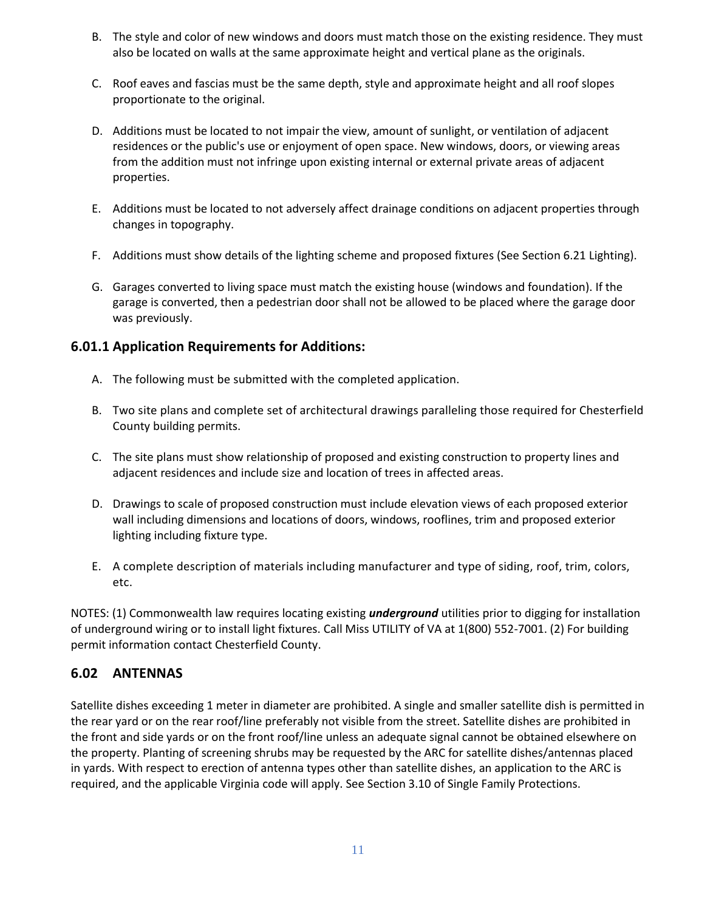- B. The style and color of new windows and doors must match those on the existing residence. They must also be located on walls at the same approximate height and vertical plane as the originals.
- C. Roof eaves and fascias must be the same depth, style and approximate height and all roof slopes proportionate to the original.
- D. Additions must be located to not impair the view, amount of sunlight, or ventilation of adjacent residences or the public's use or enjoyment of open space. New windows, doors, or viewing areas from the addition must not infringe upon existing internal or external private areas of adjacent properties.
- E. Additions must be located to not adversely affect drainage conditions on adjacent properties through changes in topography.
- F. Additions must show details of the lighting scheme and proposed fixtures (See Section 6.21 Lighting).
- G. Garages converted to living space must match the existing house (windows and foundation). If the garage is converted, then a pedestrian door shall not be allowed to be placed where the garage door was previously.

## <span id="page-10-0"></span>**6.01.1 Application Requirements for Additions:**

- A. The following must be submitted with the completed application.
- B. Two site plans and complete set of architectural drawings paralleling those required for Chesterfield County building permits.
- C. The site plans must show relationship of proposed and existing construction to property lines and adjacent residences and include size and location of trees in affected areas.
- D. Drawings to scale of proposed construction must include elevation views of each proposed exterior wall including dimensions and locations of doors, windows, rooflines, trim and proposed exterior lighting including fixture type.
- E. A complete description of materials including manufacturer and type of siding, roof, trim, colors, etc.

NOTES: (1) Commonwealth law requires locating existing *underground* utilities prior to digging for installation of underground wiring or to install light fixtures. Call Miss UTILITY of VA at 1(800) 552-7001. (2) For building permit information contact Chesterfield County.

# <span id="page-10-1"></span>**6.02 ANTENNAS**

Satellite dishes exceeding 1 meter in diameter are prohibited. A single and smaller satellite dish is permitted in the rear yard or on the rear roof/line preferably not visible from the street. Satellite dishes are prohibited in the front and side yards or on the front roof/line unless an adequate signal cannot be obtained elsewhere on the property. Planting of screening shrubs may be requested by the ARC for satellite dishes/antennas placed in yards. With respect to erection of antenna types other than satellite dishes, an application to the ARC is required, and the applicable Virginia code will apply. See Section 3.10 of Single Family Protections.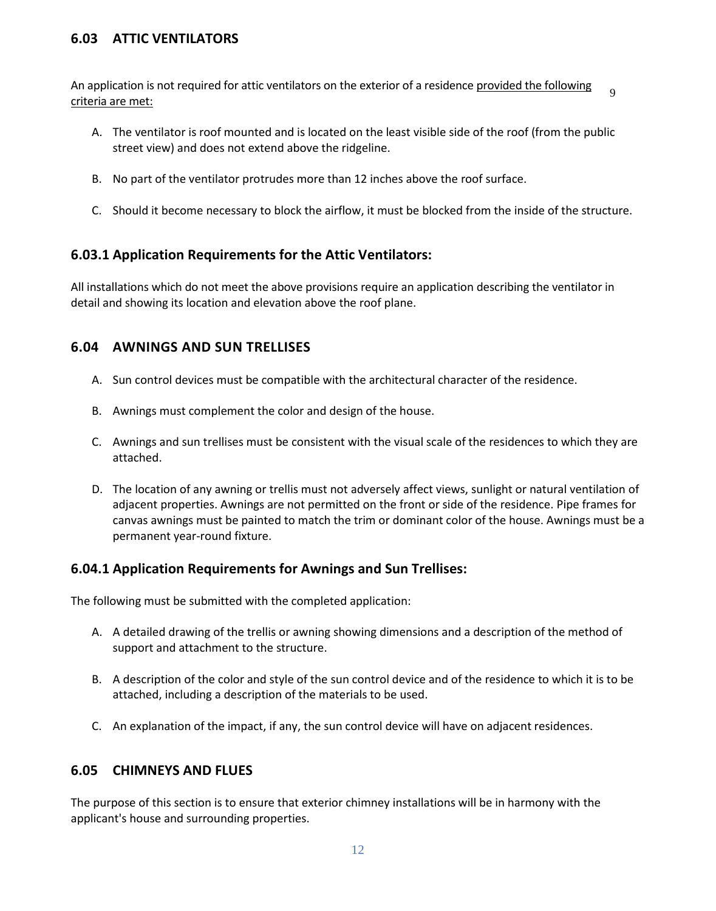## <span id="page-11-0"></span>**6.03 ATTIC VENTILATORS**

An application is not required for attic ventilators on the exterior of a residence provided the following criteria are met:  $\alpha$ 

- A. The ventilator is roof mounted and is located on the least visible side of the roof (from the public street view) and does not extend above the ridgeline.
- B. No part of the ventilator protrudes more than 12 inches above the roof surface.
- C. Should it become necessary to block the airflow, it must be blocked from the inside of the structure.

## <span id="page-11-1"></span>**6.03.1 Application Requirements for the Attic Ventilators:**

All installations which do not meet the above provisions require an application describing the ventilator in detail and showing its location and elevation above the roof plane.

## <span id="page-11-2"></span>**6.04 AWNINGS AND SUN TRELLISES**

- A. Sun control devices must be compatible with the architectural character of the residence.
- B. Awnings must complement the color and design of the house.
- C. Awnings and sun trellises must be consistent with the visual scale of the residences to which they are attached.
- D. The location of any awning or trellis must not adversely affect views, sunlight or natural ventilation of adjacent properties. Awnings are not permitted on the front or side of the residence. Pipe frames for canvas awnings must be painted to match the trim or dominant color of the house. Awnings must be a permanent year-round fixture.

## <span id="page-11-3"></span>**6.04.1 Application Requirements for Awnings and Sun Trellises:**

The following must be submitted with the completed application:

- A. A detailed drawing of the trellis or awning showing dimensions and a description of the method of support and attachment to the structure.
- B. A description of the color and style of the sun control device and of the residence to which it is to be attached, including a description of the materials to be used.
- C. An explanation of the impact, if any, the sun control device will have on adjacent residences.

## <span id="page-11-4"></span>**6.05 CHIMNEYS AND FLUES**

The purpose of this section is to ensure that exterior chimney installations will be in harmony with the applicant's house and surrounding properties.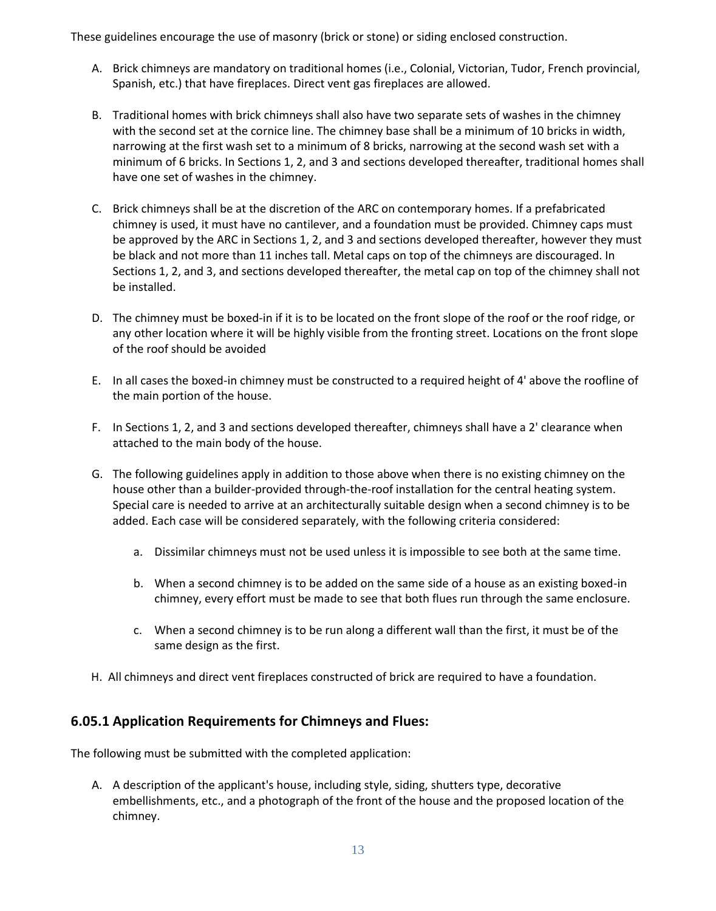These guidelines encourage the use of masonry (brick or stone) or siding enclosed construction.

- A. Brick chimneys are mandatory on traditional homes (i.e., Colonial, Victorian, Tudor, French provincial, Spanish, etc.) that have fireplaces. Direct vent gas fireplaces are allowed.
- B. Traditional homes with brick chimneys shall also have two separate sets of washes in the chimney with the second set at the cornice line. The chimney base shall be a minimum of 10 bricks in width, narrowing at the first wash set to a minimum of 8 bricks, narrowing at the second wash set with a minimum of 6 bricks. In Sections 1, 2, and 3 and sections developed thereafter, traditional homes shall have one set of washes in the chimney.
- C. Brick chimneys shall be at the discretion of the ARC on contemporary homes. If a prefabricated chimney is used, it must have no cantilever, and a foundation must be provided. Chimney caps must be approved by the ARC in Sections 1, 2, and 3 and sections developed thereafter, however they must be black and not more than 11 inches tall. Metal caps on top of the chimneys are discouraged. In Sections 1, 2, and 3, and sections developed thereafter, the metal cap on top of the chimney shall not be installed.
- D. The chimney must be boxed-in if it is to be located on the front slope of the roof or the roof ridge, or any other location where it will be highly visible from the fronting street. Locations on the front slope of the roof should be avoided
- E. In all cases the boxed-in chimney must be constructed to a required height of 4' above the roofline of the main portion of the house.
- F. In Sections 1, 2, and 3 and sections developed thereafter, chimneys shall have a 2' clearance when attached to the main body of the house.
- G. The following guidelines apply in addition to those above when there is no existing chimney on the house other than a builder-provided through-the-roof installation for the central heating system. Special care is needed to arrive at an architecturally suitable design when a second chimney is to be added. Each case will be considered separately, with the following criteria considered:
	- a. Dissimilar chimneys must not be used unless it is impossible to see both at the same time.
	- b. When a second chimney is to be added on the same side of a house as an existing boxed-in chimney, every effort must be made to see that both flues run through the same enclosure.
	- c. When a second chimney is to be run along a different wall than the first, it must be of the same design as the first.
- H. All chimneys and direct vent fireplaces constructed of brick are required to have a foundation.

## <span id="page-12-0"></span>**6.05.1 Application Requirements for Chimneys and Flues:**

The following must be submitted with the completed application:

A. A description of the applicant's house, including style, siding, shutters type, decorative embellishments, etc., and a photograph of the front of the house and the proposed location of the chimney.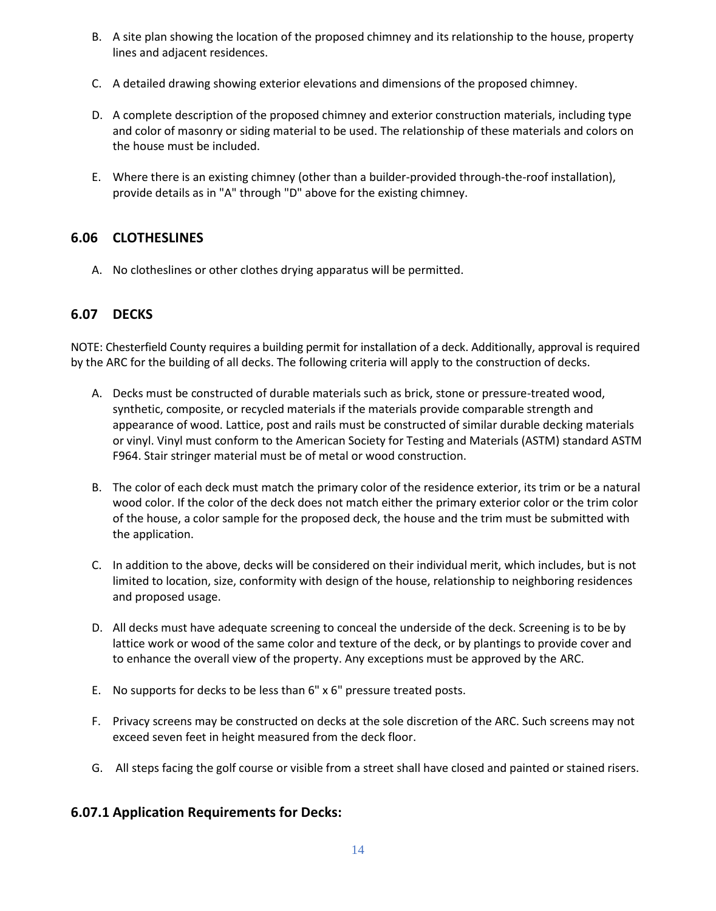- B. A site plan showing the location of the proposed chimney and its relationship to the house, property lines and adjacent residences.
- C. A detailed drawing showing exterior elevations and dimensions of the proposed chimney.
- D. A complete description of the proposed chimney and exterior construction materials, including type and color of masonry or siding material to be used. The relationship of these materials and colors on the house must be included.
- E. Where there is an existing chimney (other than a builder-provided through-the-roof installation), provide details as in "A" through "D" above for the existing chimney.

## <span id="page-13-0"></span>**6.06 CLOTHESLINES**

A. No clotheslines or other clothes drying apparatus will be permitted.

## <span id="page-13-1"></span>**6.07 DECKS**

NOTE: Chesterfield County requires a building permit for installation of a deck. Additionally, approval is required by the ARC for the building of all decks. The following criteria will apply to the construction of decks.

- A. Decks must be constructed of durable materials such as brick, stone or pressure-treated wood, synthetic, composite, or recycled materials if the materials provide comparable strength and appearance of wood. Lattice, post and rails must be constructed of similar durable decking materials or vinyl. Vinyl must conform to the American Society for Testing and Materials (ASTM) standard ASTM F964. Stair stringer material must be of metal or wood construction.
- B. The color of each deck must match the primary color of the residence exterior, its trim or be a natural wood color. If the color of the deck does not match either the primary exterior color or the trim color of the house, a color sample for the proposed deck, the house and the trim must be submitted with the application.
- C. In addition to the above, decks will be considered on their individual merit, which includes, but is not limited to location, size, conformity with design of the house, relationship to neighboring residences and proposed usage.
- D. All decks must have adequate screening to conceal the underside of the deck. Screening is to be by lattice work or wood of the same color and texture of the deck, or by plantings to provide cover and to enhance the overall view of the property. Any exceptions must be approved by the ARC.
- E. No supports for decks to be less than 6" x 6" pressure treated posts.
- F. Privacy screens may be constructed on decks at the sole discretion of the ARC. Such screens may not exceed seven feet in height measured from the deck floor.
- G. All steps facing the golf course or visible from a street shall have closed and painted or stained risers.

## <span id="page-13-2"></span>**6.07.1 Application Requirements for Decks:**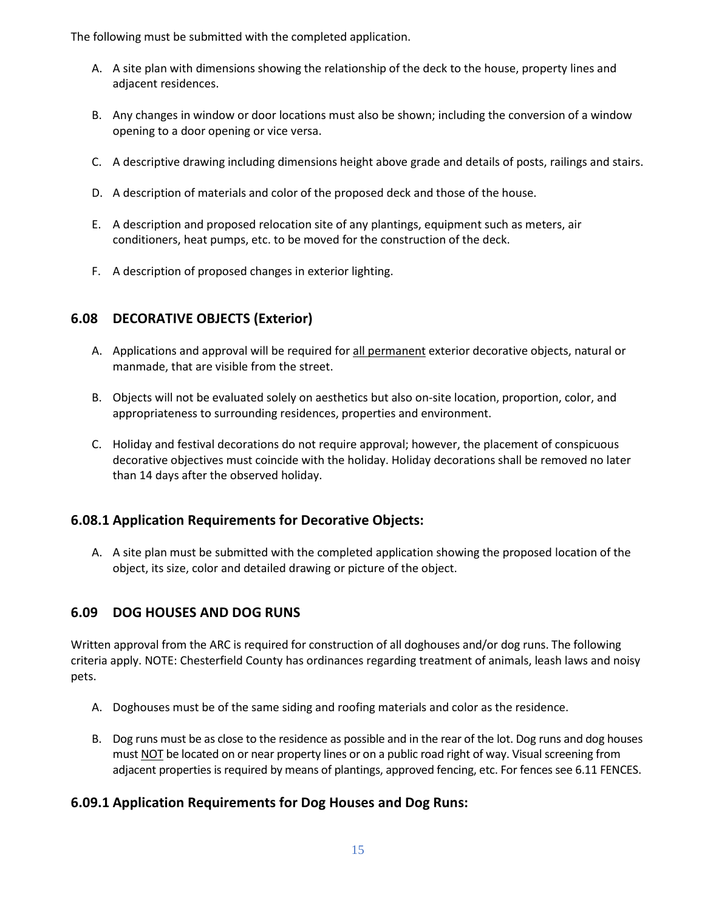The following must be submitted with the completed application.

- A. A site plan with dimensions showing the relationship of the deck to the house, property lines and adjacent residences.
- B. Any changes in window or door locations must also be shown; including the conversion of a window opening to a door opening or vice versa.
- C. A descriptive drawing including dimensions height above grade and details of posts, railings and stairs.
- D. A description of materials and color of the proposed deck and those of the house.
- E. A description and proposed relocation site of any plantings, equipment such as meters, air conditioners, heat pumps, etc. to be moved for the construction of the deck.
- F. A description of proposed changes in exterior lighting.

# <span id="page-14-0"></span>**6.08 DECORATIVE OBJECTS (Exterior)**

- A. Applications and approval will be required for all permanent exterior decorative objects, natural or manmade, that are visible from the street.
- B. Objects will not be evaluated solely on aesthetics but also on-site location, proportion, color, and appropriateness to surrounding residences, properties and environment.
- C. Holiday and festival decorations do not require approval; however, the placement of conspicuous decorative objectives must coincide with the holiday. Holiday decorations shall be removed no later than 14 days after the observed holiday.

# <span id="page-14-1"></span>**6.08.1 Application Requirements for Decorative Objects:**

A. A site plan must be submitted with the completed application showing the proposed location of the object, its size, color and detailed drawing or picture of the object.

# <span id="page-14-2"></span>**6.09 DOG HOUSES AND DOG RUNS**

Written approval from the ARC is required for construction of all doghouses and/or dog runs. The following criteria apply. NOTE: Chesterfield County has ordinances regarding treatment of animals, leash laws and noisy pets.

- A. Doghouses must be of the same siding and roofing materials and color as the residence.
- B. Dog runs must be as close to the residence as possible and in the rear of the lot. Dog runs and dog houses must NOT be located on or near property lines or on a public road right of way. Visual screening from adjacent properties is required by means of plantings, approved fencing, etc. For fences see 6.11 FENCES.

# <span id="page-14-3"></span>**6.09.1 Application Requirements for Dog Houses and Dog Runs:**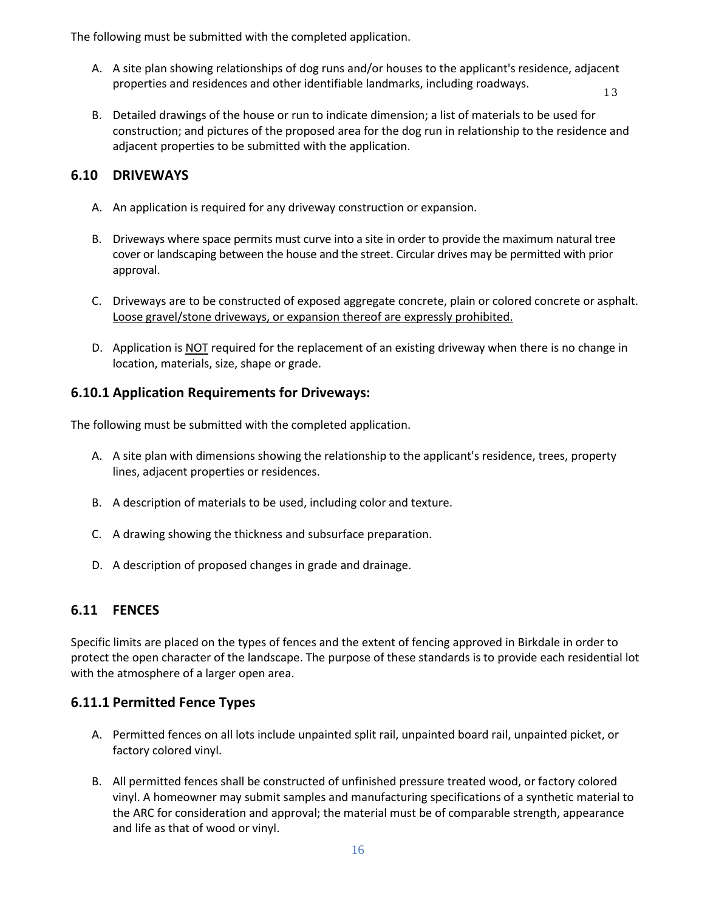The following must be submitted with the completed application.

A. A site plan showing relationships of dog runs and/or houses to the applicant's residence, adjacent properties and residences and other identifiable landmarks, including roadways.

1 3

B. Detailed drawings of the house or run to indicate dimension; a list of materials to be used for construction; and pictures of the proposed area for the dog run in relationship to the residence and adjacent properties to be submitted with the application.

#### <span id="page-15-0"></span>**6.10 DRIVEWAYS**

- A. An application is required for any driveway construction or expansion.
- B. Driveways where space permits must curve into a site in order to provide the maximum natural tree cover or landscaping between the house and the street. Circular drives may be permitted with prior approval.
- C. Driveways are to be constructed of exposed aggregate concrete, plain or colored concrete or asphalt. Loose gravel/stone driveways, or expansion thereof are expressly prohibited.
- D. Application is NOT required for the replacement of an existing driveway when there is no change in location, materials, size, shape or grade.

## <span id="page-15-1"></span>**6.10.1 Application Requirements for Driveways:**

The following must be submitted with the completed application.

- A. A site plan with dimensions showing the relationship to the applicant's residence, trees, property lines, adjacent properties or residences.
- B. A description of materials to be used, including color and texture.
- C. A drawing showing the thickness and subsurface preparation.
- D. A description of proposed changes in grade and drainage.

## <span id="page-15-2"></span>**6.11 FENCES**

Specific limits are placed on the types of fences and the extent of fencing approved in Birkdale in order to protect the open character of the landscape. The purpose of these standards is to provide each residential lot with the atmosphere of a larger open area.

## <span id="page-15-3"></span>**6.11.1 Permitted Fence Types**

- A. Permitted fences on all lots include unpainted split rail, unpainted board rail, unpainted picket, or factory colored vinyl.
- B. All permitted fences shall be constructed of unfinished pressure treated wood, or factory colored vinyl. A homeowner may submit samples and manufacturing specifications of a synthetic material to the ARC for consideration and approval; the material must be of comparable strength, appearance and life as that of wood or vinyl.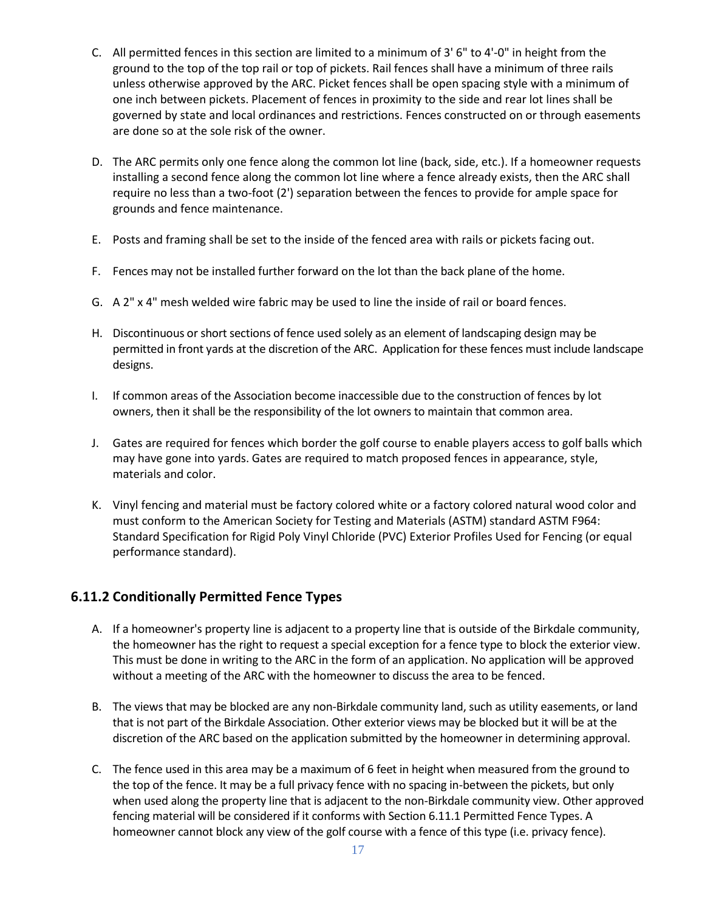- C. All permitted fences in this section are limited to a minimum of 3' 6" to 4'-0" in height from the ground to the top of the top rail or top of pickets. Rail fences shall have a minimum of three rails unless otherwise approved by the ARC. Picket fences shall be open spacing style with a minimum of one inch between pickets. Placement of fences in proximity to the side and rear lot lines shall be governed by state and local ordinances and restrictions. Fences constructed on or through easements are done so at the sole risk of the owner.
- D. The ARC permits only one fence along the common lot line (back, side, etc.). If a homeowner requests installing a second fence along the common lot line where a fence already exists, then the ARC shall require no less than a two-foot (2') separation between the fences to provide for ample space for grounds and fence maintenance.
- E. Posts and framing shall be set to the inside of the fenced area with rails or pickets facing out.
- F. Fences may not be installed further forward on the lot than the back plane of the home.
- G. A 2" x 4" mesh welded wire fabric may be used to line the inside of rail or board fences.
- H. Discontinuous or short sections of fence used solely as an element of landscaping design may be permitted in front yards at the discretion of the ARC. Application for these fences must include landscape designs.
- I. If common areas of the Association become inaccessible due to the construction of fences by lot owners, then it shall be the responsibility of the lot owners to maintain that common area.
- J. Gates are required for fences which border the golf course to enable players access to golf balls which may have gone into yards. Gates are required to match proposed fences in appearance, style, materials and color.
- K. Vinyl fencing and material must be factory colored white or a factory colored natural wood color and must conform to the American Society for Testing and Materials (ASTM) standard ASTM F964: Standard Specification for Rigid Poly Vinyl Chloride (PVC) Exterior Profiles Used for Fencing (or equal performance standard).

## <span id="page-16-0"></span>**6.11.2 Conditionally Permitted Fence Types**

- A. If a homeowner's property line is adjacent to a property line that is outside of the Birkdale community, the homeowner has the right to request a special exception for a fence type to block the exterior view. This must be done in writing to the ARC in the form of an application. No application will be approved without a meeting of the ARC with the homeowner to discuss the area to be fenced.
- B. The views that may be blocked are any non-Birkdale community land, such as utility easements, or land that is not part of the Birkdale Association. Other exterior views may be blocked but it will be at the discretion of the ARC based on the application submitted by the homeowner in determining approval.
- C. The fence used in this area may be a maximum of 6 feet in height when measured from the ground to the top of the fence. It may be a full privacy fence with no spacing in-between the pickets, but only when used along the property line that is adjacent to the non-Birkdale community view. Other approved fencing material will be considered if it conforms with Section 6.11.1 Permitted Fence Types. A homeowner cannot block any view of the golf course with a fence of this type (i.e. privacy fence).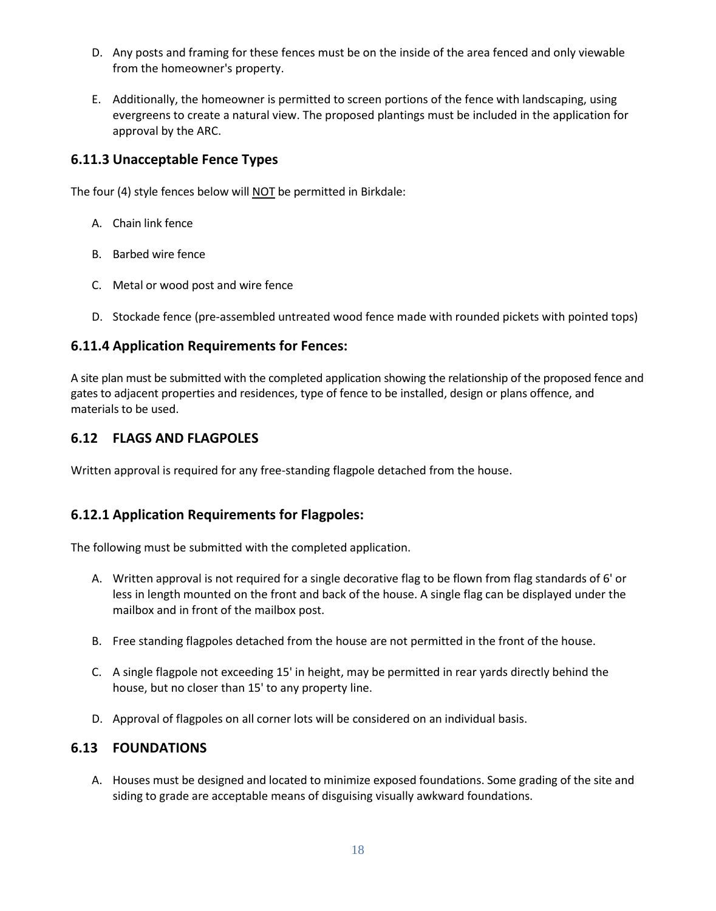- D. Any posts and framing for these fences must be on the inside of the area fenced and only viewable from the homeowner's property.
- E. Additionally, the homeowner is permitted to screen portions of the fence with landscaping, using evergreens to create a natural view. The proposed plantings must be included in the application for approval by the ARC.

## <span id="page-17-0"></span>**6.11.3 Unacceptable Fence Types**

The four (4) style fences below will NOT be permitted in Birkdale:

- A. Chain link fence
- B. Barbed wire fence
- C. Metal or wood post and wire fence
- D. Stockade fence (pre-assembled untreated wood fence made with rounded pickets with pointed tops)

## <span id="page-17-1"></span>**6.11.4 Application Requirements for Fences:**

A site plan must be submitted with the completed application showing the relationship of the proposed fence and gates to adjacent properties and residences, type of fence to be installed, design or plans offence, and materials to be used.

# <span id="page-17-2"></span>**6.12 FLAGS AND FLAGPOLES**

Written approval is required for any free-standing flagpole detached from the house.

# <span id="page-17-3"></span>**6.12.1 Application Requirements for Flagpoles:**

The following must be submitted with the completed application.

- A. Written approval is not required for a single decorative flag to be flown from flag standards of 6' or less in length mounted on the front and back of the house. A single flag can be displayed under the mailbox and in front of the mailbox post.
- B. Free standing flagpoles detached from the house are not permitted in the front of the house.
- C. A single flagpole not exceeding 15' in height, may be permitted in rear yards directly behind the house, but no closer than 15' to any property line.
- D. Approval of flagpoles on all corner lots will be considered on an individual basis.

# <span id="page-17-4"></span>**6.13 FOUNDATIONS**

A. Houses must be designed and located to minimize exposed foundations. Some grading of the site and siding to grade are acceptable means of disguising visually awkward foundations.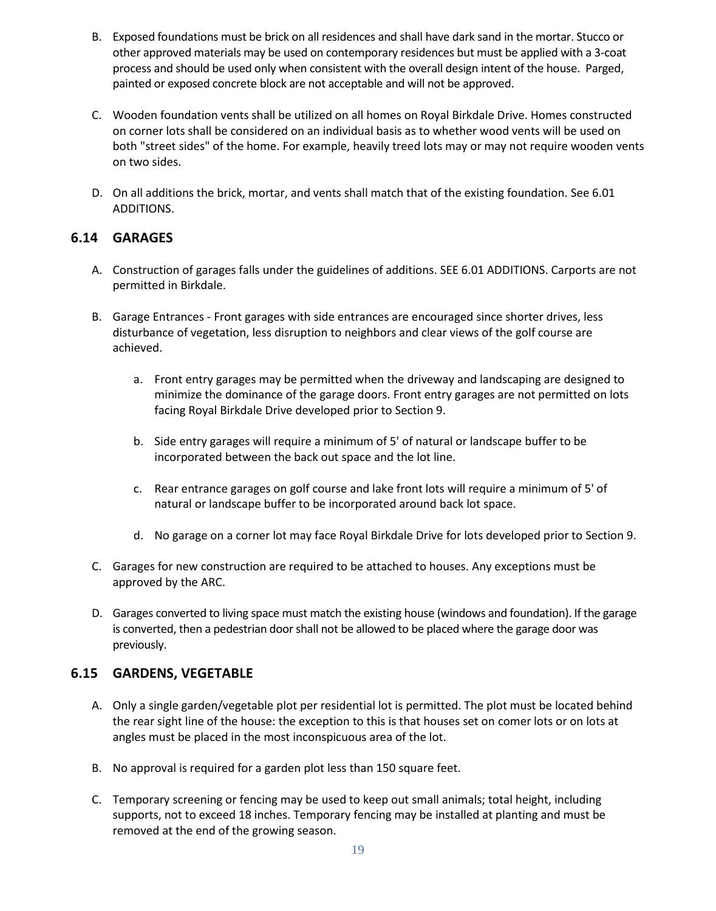- B. Exposed foundations must be brick on all residences and shall have dark sand in the mortar. Stucco or other approved materials may be used on contemporary residences but must be applied with a 3-coat process and should be used only when consistent with the overall design intent of the house. Parged, painted or exposed concrete block are not acceptable and will not be approved.
- C. Wooden foundation vents shall be utilized on all homes on Royal Birkdale Drive. Homes constructed on corner lots shall be considered on an individual basis as to whether wood vents will be used on both "street sides" of the home. For example, heavily treed lots may or may not require wooden vents on two sides.
- D. On all additions the brick, mortar, and vents shall match that of the existing foundation. See 6.01 ADDITIONS.

## <span id="page-18-0"></span>**6.14 GARAGES**

- A. Construction of garages falls under the guidelines of additions. SEE 6.01 ADDITIONS. Carports are not permitted in Birkdale.
- B. Garage Entrances Front garages with side entrances are encouraged since shorter drives, less disturbance of vegetation, less disruption to neighbors and clear views of the golf course are achieved.
	- a. Front entry garages may be permitted when the driveway and landscaping are designed to minimize the dominance of the garage doors. Front entry garages are not permitted on lots facing Royal Birkdale Drive developed prior to Section 9.
	- b. Side entry garages will require a minimum of 5' of natural or landscape buffer to be incorporated between the back out space and the lot line.
	- c. Rear entrance garages on golf course and lake front lots will require a minimum of 5' of natural or landscape buffer to be incorporated around back lot space.
	- d. No garage on a corner lot may face Royal Birkdale Drive for lots developed prior to Section 9.
- C. Garages for new construction are required to be attached to houses. Any exceptions must be approved by the ARC.
- D. Garages converted to living space must match the existing house (windows and foundation). If the garage is converted, then a pedestrian door shall not be allowed to be placed where the garage door was previously.

## <span id="page-18-1"></span>**6.15 GARDENS, VEGETABLE**

- A. Only a single garden/vegetable plot per residential lot is permitted. The plot must be located behind the rear sight line of the house: the exception to this is that houses set on comer lots or on lots at angles must be placed in the most inconspicuous area of the lot.
- B. No approval is required for a garden plot less than 150 square feet.
- C. Temporary screening or fencing may be used to keep out small animals; total height, including supports, not to exceed 18 inches. Temporary fencing may be installed at planting and must be removed at the end of the growing season.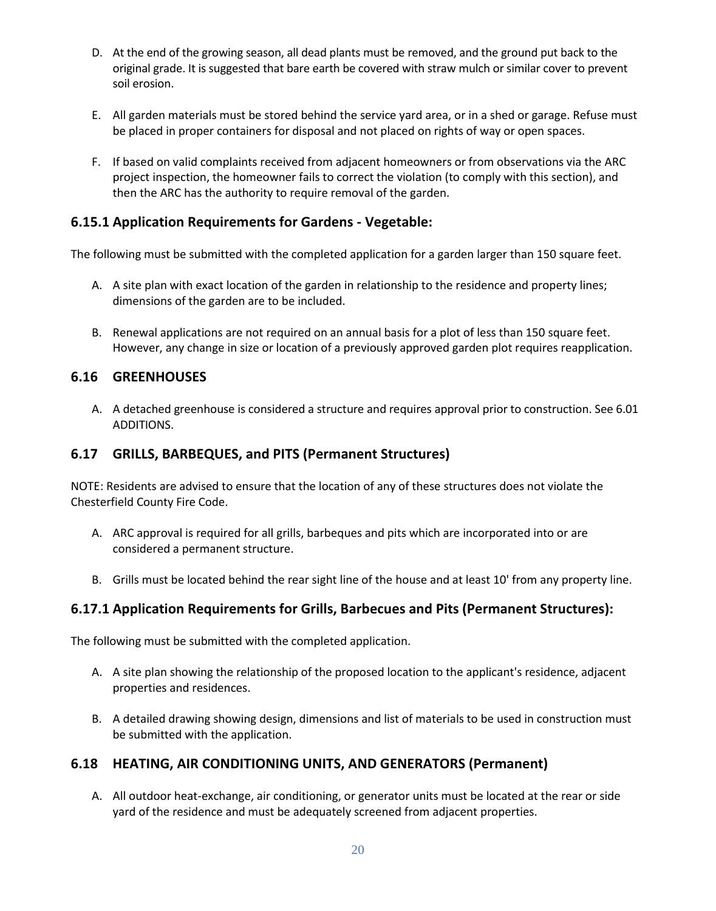- D. At the end of the growing season, all dead plants must be removed, and the ground put back to the original grade. It is suggested that bare earth be covered with straw mulch or similar cover to prevent soil erosion.
- E. All garden materials must be stored behind the service yard area, or in a shed or garage. Refuse must be placed in proper containers for disposal and not placed on rights of way or open spaces.
- F. If based on valid complaints received from adjacent homeowners or from observations via the ARC project inspection, the homeowner fails to correct the violation (to comply with this section), and then the ARC has the authority to require removal of the garden.

## <span id="page-19-0"></span>**6.15.1 Application Requirements for Gardens - Vegetable:**

The following must be submitted with the completed application for a garden larger than 150 square feet.

- A. A site plan with exact location of the garden in relationship to the residence and property lines; dimensions of the garden are to be included.
- B. Renewal applications are not required on an annual basis for a plot of less than 150 square feet. However, any change in size or location of a previously approved garden plot requires reapplication.

#### <span id="page-19-1"></span>**6.16 GREENHOUSES**

A. A detached greenhouse is considered a structure and requires approval prior to construction. See 6.01 ADDITIONS.

#### <span id="page-19-2"></span>**6.17 GRILLS, BARBEQUES, and PITS (Permanent Structures)**

NOTE: Residents are advised to ensure that the location of any of these structures does not violate the Chesterfield County Fire Code.

- A. ARC approval is required for all grills, barbeques and pits which are incorporated into or are considered a permanent structure.
- B. Grills must be located behind the rear sight line of the house and at least 10' from any property line.

#### <span id="page-19-3"></span>**6.17.1 Application Requirements for Grills, Barbecues and Pits (Permanent Structures):**

The following must be submitted with the completed application.

- A. A site plan showing the relationship of the proposed location to the applicant's residence, adjacent properties and residences.
- B. A detailed drawing showing design, dimensions and list of materials to be used in construction must be submitted with the application.

## <span id="page-19-4"></span>**6.18 HEATING, AIR CONDITIONING UNITS, AND GENERATORS (Permanent)**

A. All outdoor heat-exchange, air conditioning, or generator units must be located at the rear or side yard of the residence and must be adequately screened from adjacent properties.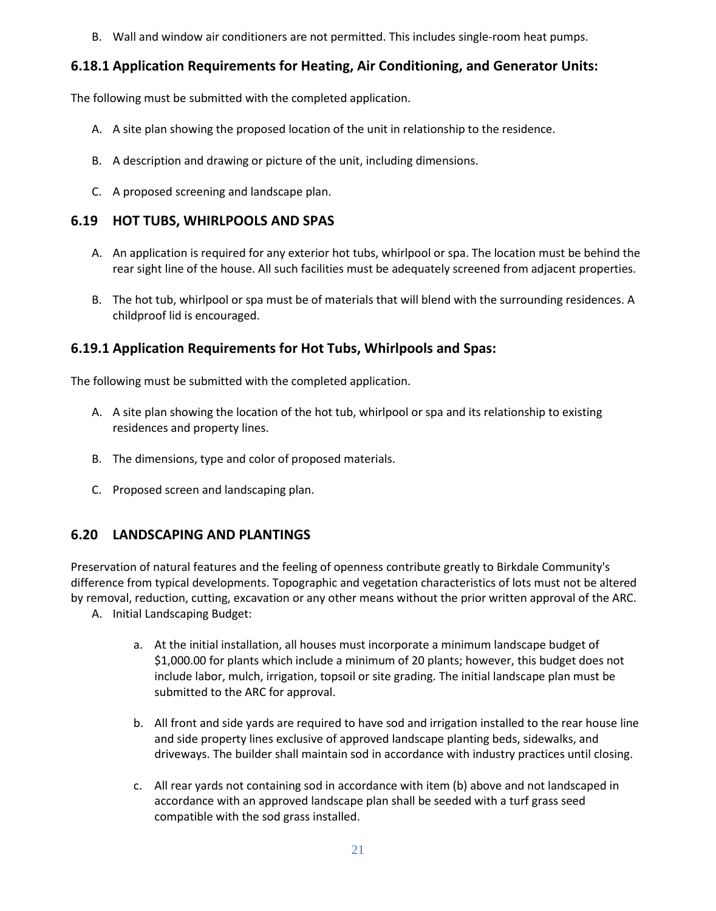B. Wall and window air conditioners are not permitted. This includes single-room heat pumps.

## <span id="page-20-0"></span>**6.18.1 Application Requirements for Heating, Air Conditioning, and Generator Units:**

The following must be submitted with the completed application.

- A. A site plan showing the proposed location of the unit in relationship to the residence.
- B. A description and drawing or picture of the unit, including dimensions.
- C. A proposed screening and landscape plan.

## <span id="page-20-1"></span>**6.19 HOT TUBS, WHIRLPOOLS AND SPAS**

- A. An application is required for any exterior hot tubs, whirlpool or spa. The location must be behind the rear sight line of the house. All such facilities must be adequately screened from adjacent properties.
- B. The hot tub, whirlpool or spa must be of materials that will blend with the surrounding residences. A childproof lid is encouraged.

## <span id="page-20-2"></span>**6.19.1 Application Requirements for Hot Tubs, Whirlpools and Spas:**

The following must be submitted with the completed application.

- A. A site plan showing the location of the hot tub, whirlpool or spa and its relationship to existing residences and property lines.
- B. The dimensions, type and color of proposed materials.
- C. Proposed screen and landscaping plan.

# <span id="page-20-3"></span>**6.20 LANDSCAPING AND PLANTINGS**

Preservation of natural features and the feeling of openness contribute greatly to Birkdale Community's difference from typical developments. Topographic and vegetation characteristics of lots must not be altered by removal, reduction, cutting, excavation or any other means without the prior written approval of the ARC.

- A. Initial Landscaping Budget:
	- a. At the initial installation, all houses must incorporate a minimum landscape budget of \$1,000.00 for plants which include a minimum of 20 plants; however, this budget does not include labor, mulch, irrigation, topsoil or site grading. The initial landscape plan must be submitted to the ARC for approval.
	- b. All front and side yards are required to have sod and irrigation installed to the rear house line and side property lines exclusive of approved landscape planting beds, sidewalks, and driveways. The builder shall maintain sod in accordance with industry practices until closing.
	- c. All rear yards not containing sod in accordance with item (b) above and not landscaped in accordance with an approved landscape plan shall be seeded with a turf grass seed compatible with the sod grass installed.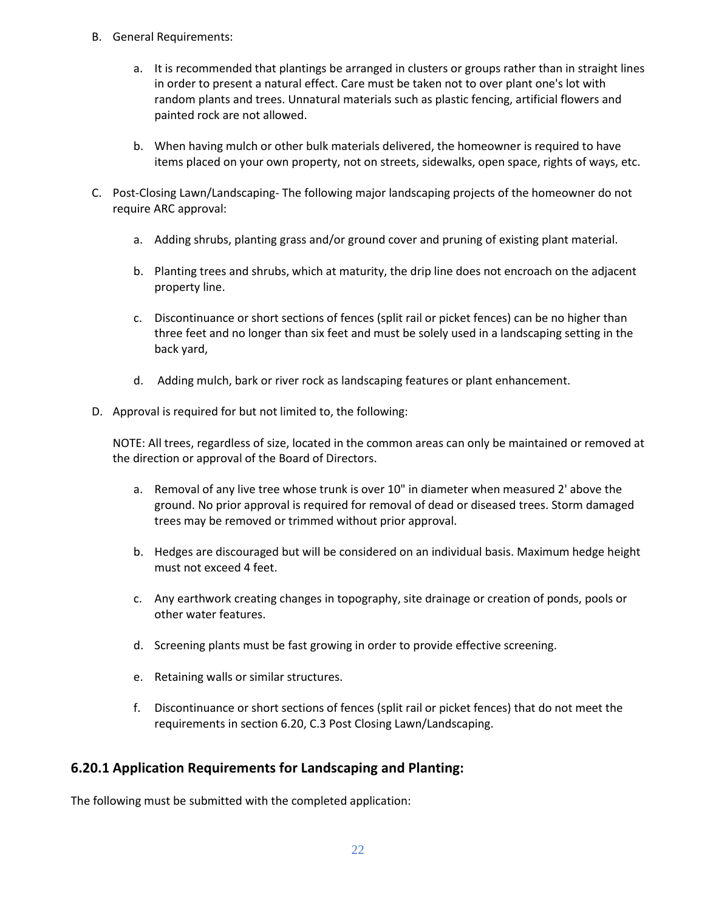- B. General Requirements:
	- a. It is recommended that plantings be arranged in clusters or groups rather than in straight lines in order to present a natural effect. Care must be taken not to over plant one's lot with random plants and trees. Unnatural materials such as plastic fencing, artificial flowers and painted rock are not allowed.
	- b. When having mulch or other bulk materials delivered, the homeowner is required to have items placed on your own property, not on streets, sidewalks, open space, rights of ways, etc.
- C. Post-Closing Lawn/Landscaping- The following major landscaping projects of the homeowner do not require ARC approval:
	- a. Adding shrubs, planting grass and/or ground cover and pruning of existing plant material.
	- b. Planting trees and shrubs, which at maturity, the drip line does not encroach on the adjacent property line.
	- c. Discontinuance or short sections of fences (split rail or picket fences) can be no higher than three feet and no longer than six feet and must be solely used in a landscaping setting in the back yard,
	- d. Adding mulch, bark or river rock as landscaping features or plant enhancement.
- D. Approval is required for but not limited to, the following:

NOTE: All trees, regardless of size, located in the common areas can only be maintained or removed at the direction or approval of the Board of Directors.

- a. Removal of any live tree whose trunk is over 10" in diameter when measured 2' above the ground. No prior approval is required for removal of dead or diseased trees. Storm damaged trees may be removed or trimmed without prior approval.
- b. Hedges are discouraged but will be considered on an individual basis. Maximum hedge height must not exceed 4 feet.
- c. Any earthwork creating changes in topography, site drainage or creation of ponds, pools or other water features.
- d. Screening plants must be fast growing in order to provide effective screening.
- e. Retaining walls or similar structures.
- f. Discontinuance or short sections of fences (split rail or picket fences) that do not meet the requirements in section 6.20, C.3 Post Closing Lawn/Landscaping.

## <span id="page-21-0"></span>**6.20.1 Application Requirements for Landscaping and Planting:**

The following must be submitted with the completed application: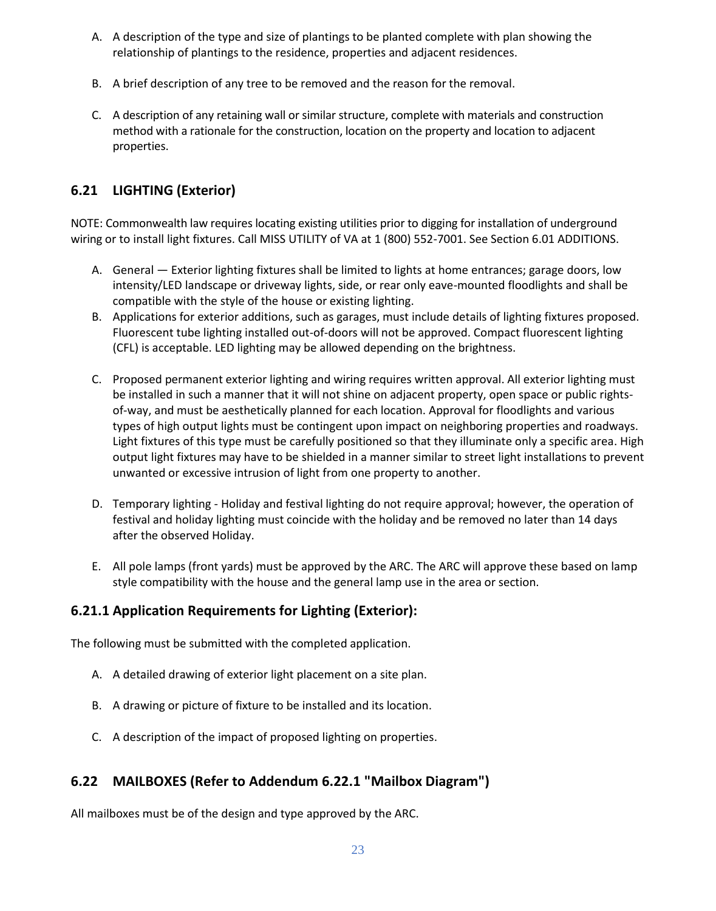- A. A description of the type and size of plantings to be planted complete with plan showing the relationship of plantings to the residence, properties and adjacent residences.
- B. A brief description of any tree to be removed and the reason for the removal.
- C. A description of any retaining wall or similar structure, complete with materials and construction method with a rationale for the construction, location on the property and location to adjacent properties.

# <span id="page-22-0"></span>**6.21 LIGHTING (Exterior)**

NOTE: Commonwealth law requires locating existing utilities prior to digging for installation of underground wiring or to install light fixtures. Call MISS UTILITY of VA at 1 (800) 552-7001. See Section 6.01 ADDITIONS.

- A. General Exterior lighting fixtures shall be limited to lights at home entrances; garage doors, low intensity/LED landscape or driveway lights, side, or rear only eave-mounted floodlights and shall be compatible with the style of the house or existing lighting.
- B. Applications for exterior additions, such as garages, must include details of lighting fixtures proposed. Fluorescent tube lighting installed out-of-doors will not be approved. Compact fluorescent lighting (CFL) is acceptable. LED lighting may be allowed depending on the brightness.
- C. Proposed permanent exterior lighting and wiring requires written approval. All exterior lighting must be installed in such a manner that it will not shine on adjacent property, open space or public rightsof-way, and must be aesthetically planned for each location. Approval for floodlights and various types of high output lights must be contingent upon impact on neighboring properties and roadways. Light fixtures of this type must be carefully positioned so that they illuminate only a specific area. High output light fixtures may have to be shielded in a manner similar to street light installations to prevent unwanted or excessive intrusion of light from one property to another.
- D. Temporary lighting Holiday and festival lighting do not require approval; however, the operation of festival and holiday lighting must coincide with the holiday and be removed no later than 14 days after the observed Holiday.
- E. All pole lamps (front yards) must be approved by the ARC. The ARC will approve these based on lamp style compatibility with the house and the general lamp use in the area or section.

# <span id="page-22-1"></span>**6.21.1 Application Requirements for Lighting (Exterior):**

The following must be submitted with the completed application.

- A. A detailed drawing of exterior light placement on a site plan.
- B. A drawing or picture of fixture to be installed and its location.
- C. A description of the impact of proposed lighting on properties.

# <span id="page-22-2"></span>**6.22 MAILBOXES (Refer to Addendum 6.22.1 "Mailbox Diagram")**

All mailboxes must be of the design and type approved by the ARC.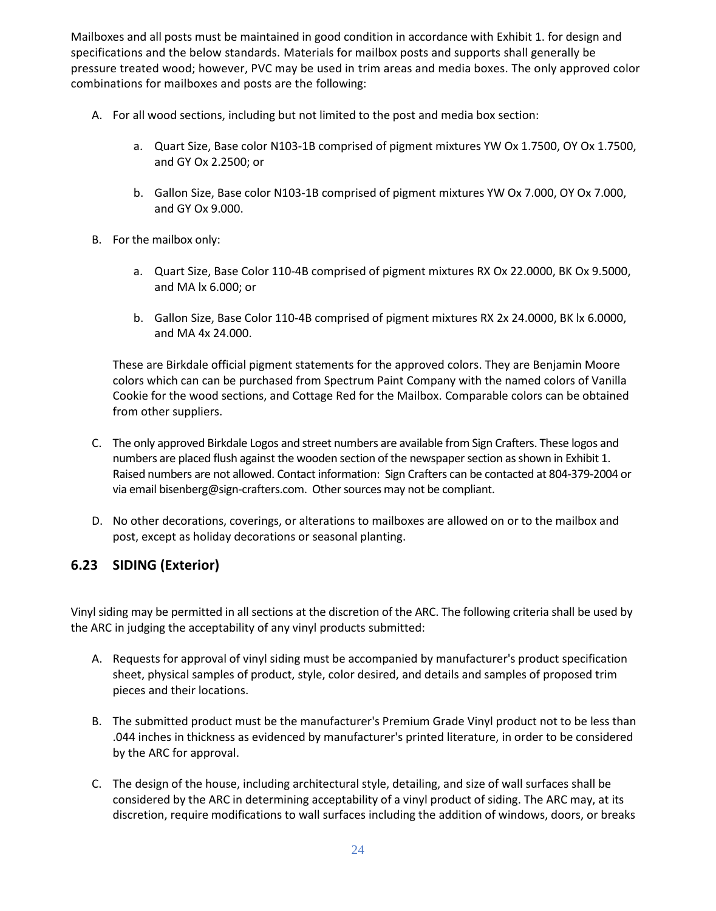Mailboxes and all posts must be maintained in good condition in accordance with Exhibit 1. for design and specifications and the below standards. Materials for mailbox posts and supports shall generally be pressure treated wood; however, PVC may be used in trim areas and media boxes. The only approved color combinations for mailboxes and posts are the following:

- A. For all wood sections, including but not limited to the post and media box section:
	- a. Quart Size, Base color N103-1B comprised of pigment mixtures YW Ox 1.7500, OY Ox 1.7500, and GY Ox 2.2500; or
	- b. Gallon Size, Base color N103-1B comprised of pigment mixtures YW Ox 7.000, OY Ox 7.000, and GY Ox 9.000.
- B. For the mailbox only:
	- a. Quart Size, Base Color 110-4B comprised of pigment mixtures RX Ox 22.0000, BK Ox 9.5000, and MA lx 6.000; or
	- b. Gallon Size, Base Color 110-4B comprised of pigment mixtures RX 2x 24.0000, BK lx 6.0000, and MA 4x 24.000.

These are Birkdale official pigment statements for the approved colors. They are Benjamin Moore colors which can can be purchased from Spectrum Paint Company with the named colors of Vanilla Cookie for the wood sections, and Cottage Red for the Mailbox. Comparable colors can be obtained from other suppliers.

- C. The only approved Birkdale Logos and street numbers are available from Sign Crafters. These logos and numbers are placed flush against the wooden section of the newspaper section as shown in Exhibit 1. Raised numbers are not allowed. Contact information: Sign Crafters can be contacted at 804-379-2004 or via email [bisenberg@sign-crafters.com.](mailto:bisenberg@sign-crafters.com) Other sources may not be compliant.
- D. No other decorations, coverings, or alterations to mailboxes are allowed on or to the mailbox and post, except as holiday decorations or seasonal planting.

## <span id="page-23-0"></span>**6.23 SIDING (Exterior)**

Vinyl siding may be permitted in all sections at the discretion of the ARC. The following criteria shall be used by the ARC in judging the acceptability of any vinyl products submitted:

- A. Requests for approval of vinyl siding must be accompanied by manufacturer's product specification sheet, physical samples of product, style, color desired, and details and samples of proposed trim pieces and their locations.
- B. The submitted product must be the manufacturer's Premium Grade Vinyl product not to be less than .044 inches in thickness as evidenced by manufacturer's printed literature, in order to be considered by the ARC for approval.
- C. The design of the house, including architectural style, detailing, and size of wall surfaces shall be considered by the ARC in determining acceptability of a vinyl product of siding. The ARC may, at its discretion, require modifications to wall surfaces including the addition of windows, doors, or breaks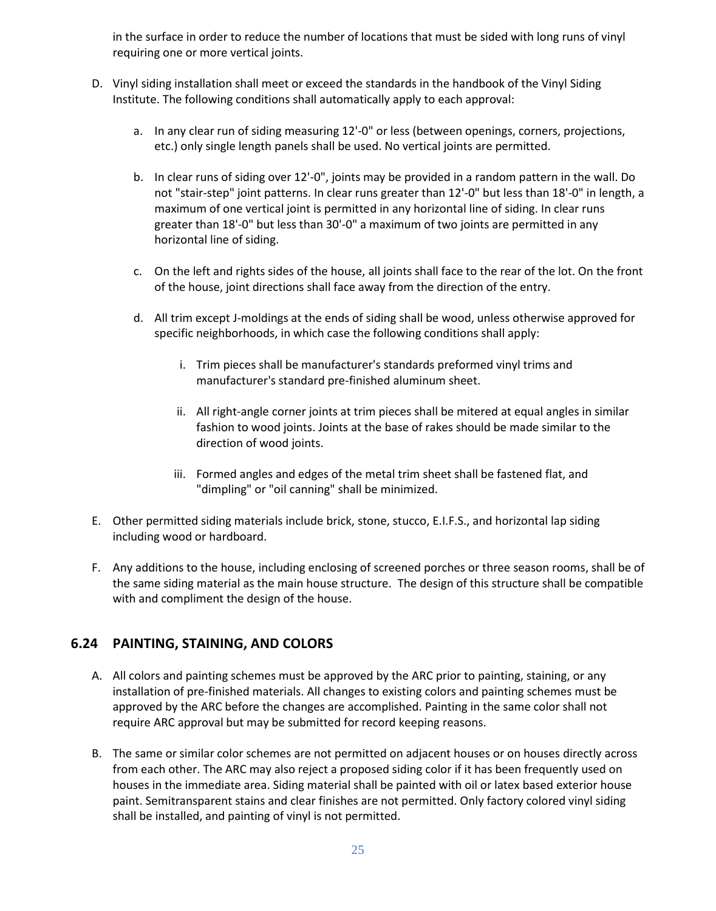in the surface in order to reduce the number of locations that must be sided with long runs of vinyl requiring one or more vertical joints.

- D. Vinyl siding installation shall meet or exceed the standards in the handbook of the Vinyl Siding Institute. The following conditions shall automatically apply to each approval:
	- a. In any clear run of siding measuring 12'-0" or less (between openings, corners, projections, etc.) only single length panels shall be used. No vertical joints are permitted.
	- b. In clear runs of siding over 12'-0", joints may be provided in a random pattern in the wall. Do not "stair-step" joint patterns. In clear runs greater than 12'-0" but less than 18'-0" in length, a maximum of one vertical joint is permitted in any horizontal line of siding. In clear runs greater than 18'-0" but less than 30'-0" a maximum of two joints are permitted in any horizontal line of siding.
	- c. On the left and rights sides of the house, all joints shall face to the rear of the lot. On the front of the house, joint directions shall face away from the direction of the entry.
	- d. All trim except J-moldings at the ends of siding shall be wood, unless otherwise approved for specific neighborhoods, in which case the following conditions shall apply:
		- i. Trim pieces shall be manufacturer's standards preformed vinyl trims and manufacturer's standard pre-finished aluminum sheet.
		- ii. All right-angle corner joints at trim pieces shall be mitered at equal angles in similar fashion to wood joints. Joints at the base of rakes should be made similar to the direction of wood joints.
		- iii. Formed angles and edges of the metal trim sheet shall be fastened flat, and "dimpling" or "oil canning" shall be minimized.
- E. Other permitted siding materials include brick, stone, stucco, E.I.F.S., and horizontal lap siding including wood or hardboard.
- F. Any additions to the house, including enclosing of screened porches or three season rooms, shall be of the same siding material as the main house structure. The design of this structure shall be compatible with and compliment the design of the house.

# <span id="page-24-0"></span>**6.24 PAINTING, STAINING, AND COLORS**

- A. All colors and painting schemes must be approved by the ARC prior to painting, staining, or any installation of pre-finished materials. All changes to existing colors and painting schemes must be approved by the ARC before the changes are accomplished. Painting in the same color shall not require ARC approval but may be submitted for record keeping reasons.
- B. The same or similar color schemes are not permitted on adjacent houses or on houses directly across from each other. The ARC may also reject a proposed siding color if it has been frequently used on houses in the immediate area. Siding material shall be painted with oil or latex based exterior house paint. Semitransparent stains and clear finishes are not permitted. Only factory colored vinyl siding shall be installed, and painting of vinyl is not permitted.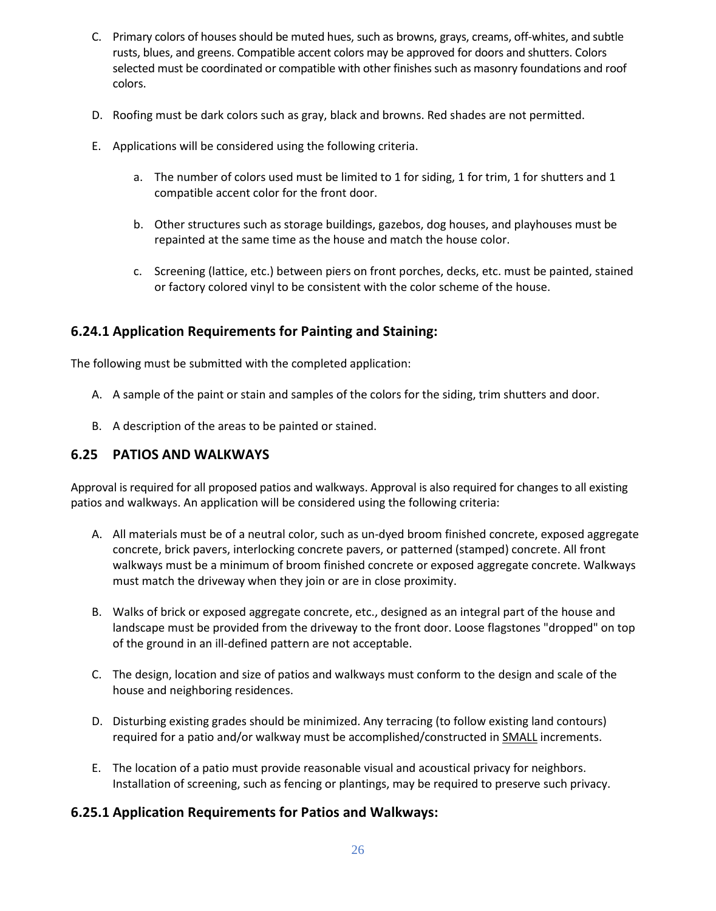- C. Primary colors of houses should be muted hues, such as browns, grays, creams, off-whites, and subtle rusts, blues, and greens. Compatible accent colors may be approved for doors and shutters. Colors selected must be coordinated or compatible with other finishes such as masonry foundations and roof colors.
- D. Roofing must be dark colors such as gray, black and browns. Red shades are not permitted.
- E. Applications will be considered using the following criteria.
	- a. The number of colors used must be limited to 1 for siding, 1 for trim, 1 for shutters and 1 compatible accent color for the front door.
	- b. Other structures such as storage buildings, gazebos, dog houses, and playhouses must be repainted at the same time as the house and match the house color.
	- c. Screening (lattice, etc.) between piers on front porches, decks, etc. must be painted, stained or factory colored vinyl to be consistent with the color scheme of the house.

#### <span id="page-25-0"></span>**6.24.1 Application Requirements for Painting and Staining:**

The following must be submitted with the completed application:

- A. A sample of the paint or stain and samples of the colors for the siding, trim shutters and door.
- B. A description of the areas to be painted or stained.

## <span id="page-25-1"></span>**6.25 PATIOS AND WALKWAYS**

Approval is required for all proposed patios and walkways. Approval is also required for changes to all existing patios and walkways. An application will be considered using the following criteria:

- A. All materials must be of a neutral color, such as un-dyed broom finished concrete, exposed aggregate concrete, brick pavers, interlocking concrete pavers, or patterned (stamped) concrete. All front walkways must be a minimum of broom finished concrete or exposed aggregate concrete. Walkways must match the driveway when they join or are in close proximity.
- B. Walks of brick or exposed aggregate concrete, etc., designed as an integral part of the house and landscape must be provided from the driveway to the front door. Loose flagstones "dropped" on top of the ground in an ill-defined pattern are not acceptable.
- C. The design, location and size of patios and walkways must conform to the design and scale of the house and neighboring residences.
- D. Disturbing existing grades should be minimized. Any terracing (to follow existing land contours) required for a patio and/or walkway must be accomplished/constructed in **SMALL** increments.
- E. The location of a patio must provide reasonable visual and acoustical privacy for neighbors. Installation of screening, such as fencing or plantings, may be required to preserve such privacy.

## <span id="page-25-2"></span>**6.25.1 Application Requirements for Patios and Walkways:**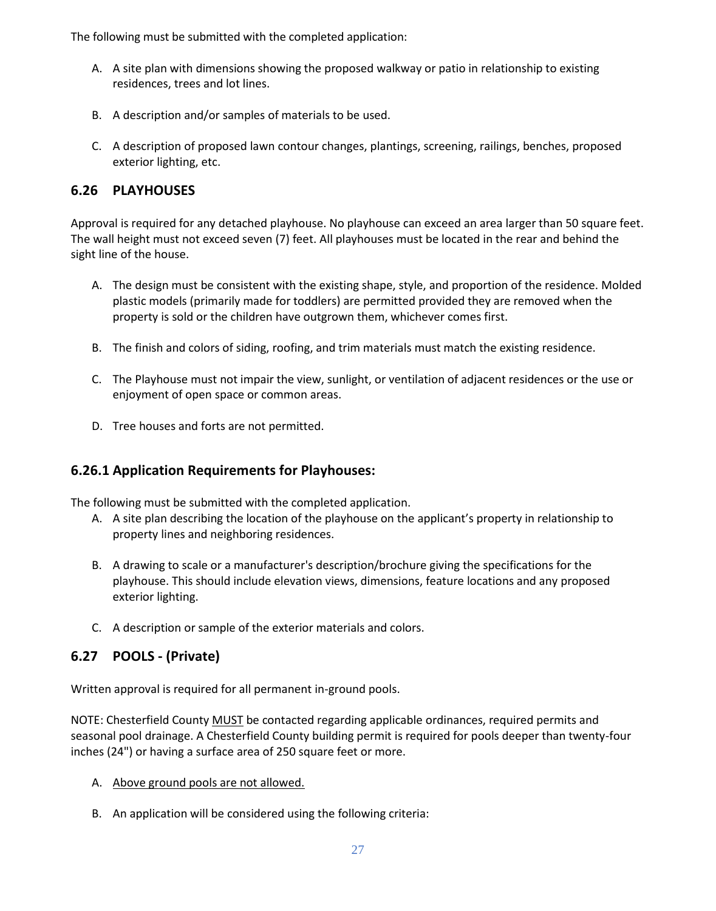The following must be submitted with the completed application:

- A. A site plan with dimensions showing the proposed walkway or patio in relationship to existing residences, trees and lot lines.
- B. A description and/or samples of materials to be used.
- C. A description of proposed lawn contour changes, plantings, screening, railings, benches, proposed exterior lighting, etc.

## <span id="page-26-0"></span>**6.26 PLAYHOUSES**

Approval is required for any detached playhouse. No playhouse can exceed an area larger than 50 square feet. The wall height must not exceed seven (7) feet. All playhouses must be located in the rear and behind the sight line of the house.

- A. The design must be consistent with the existing shape, style, and proportion of the residence. Molded plastic models (primarily made for toddlers) are permitted provided they are removed when the property is sold or the children have outgrown them, whichever comes first.
- B. The finish and colors of siding, roofing, and trim materials must match the existing residence.
- C. The Playhouse must not impair the view, sunlight, or ventilation of adjacent residences or the use or enjoyment of open space or common areas.
- D. Tree houses and forts are not permitted.

## <span id="page-26-1"></span>**6.26.1 Application Requirements for Playhouses:**

The following must be submitted with the completed application.

- A. A site plan describing the location of the playhouse on the applicant's property in relationship to property lines and neighboring residences.
- B. A drawing to scale or a manufacturer's description/brochure giving the specifications for the playhouse. This should include elevation views, dimensions, feature locations and any proposed exterior lighting.
- C. A description or sample of the exterior materials and colors.

# <span id="page-26-2"></span>**6.27 POOLS - (Private)**

Written approval is required for all permanent in-ground pools.

NOTE: Chesterfield County MUST be contacted regarding applicable ordinances, required permits and seasonal pool drainage. A Chesterfield County building permit is required for pools deeper than twenty-four inches (24") or having a surface area of 250 square feet or more.

- A. Above ground pools are not allowed.
- B. An application will be considered using the following criteria: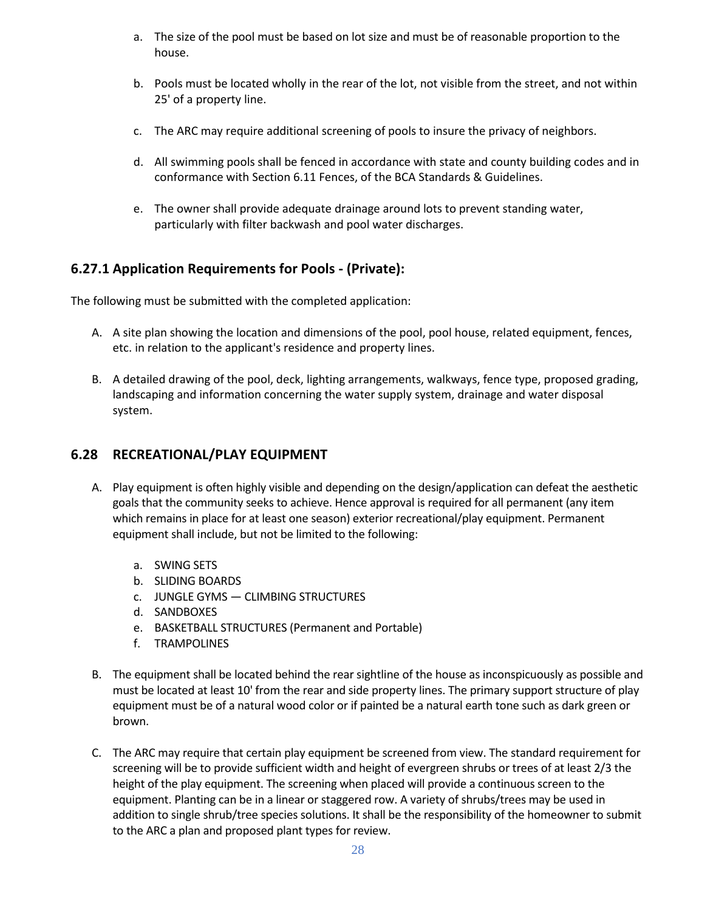- a. The size of the pool must be based on lot size and must be of reasonable proportion to the house.
- b. Pools must be located wholly in the rear of the lot, not visible from the street, and not within 25' of a property line.
- c. The ARC may require additional screening of pools to insure the privacy of neighbors.
- d. All swimming pools shall be fenced in accordance with state and county building codes and in conformance with Section 6.11 Fences, of the BCA Standards & Guidelines.
- e. The owner shall provide adequate drainage around lots to prevent standing water, particularly with filter backwash and pool water discharges.

# <span id="page-27-0"></span>**6.27.1 Application Requirements for Pools - (Private):**

The following must be submitted with the completed application:

- A. A site plan showing the location and dimensions of the pool, pool house, related equipment, fences, etc. in relation to the applicant's residence and property lines.
- B. A detailed drawing of the pool, deck, lighting arrangements, walkways, fence type, proposed grading, landscaping and information concerning the water supply system, drainage and water disposal system.

# <span id="page-27-1"></span>**6.28 RECREATIONAL/PLAY EQUIPMENT**

- A. Play equipment is often highly visible and depending on the design/application can defeat the aesthetic goals that the community seeks to achieve. Hence approval is required for all permanent (any item which remains in place for at least one season) exterior recreational/play equipment. Permanent equipment shall include, but not be limited to the following:
	- a. SWING SETS
	- b. SLIDING BOARDS
	- c. JUNGLE GYMS CLIMBING STRUCTURES
	- d. SANDBOXES
	- e. BASKETBALL STRUCTURES (Permanent and Portable)
	- f. TRAMPOLINES
- B. The equipment shall be located behind the rear sightline of the house as inconspicuously as possible and must be located at least 10' from the rear and side property lines. The primary support structure of play equipment must be of a natural wood color or if painted be a natural earth tone such as dark green or brown.
- C. The ARC may require that certain play equipment be screened from view. The standard requirement for screening will be to provide sufficient width and height of evergreen shrubs or trees of at least 2/3 the height of the play equipment. The screening when placed will provide a continuous screen to the equipment. Planting can be in a linear or staggered row. A variety of shrubs/trees may be used in addition to single shrub/tree species solutions. It shall be the responsibility of the homeowner to submit to the ARC a plan and proposed plant types for review.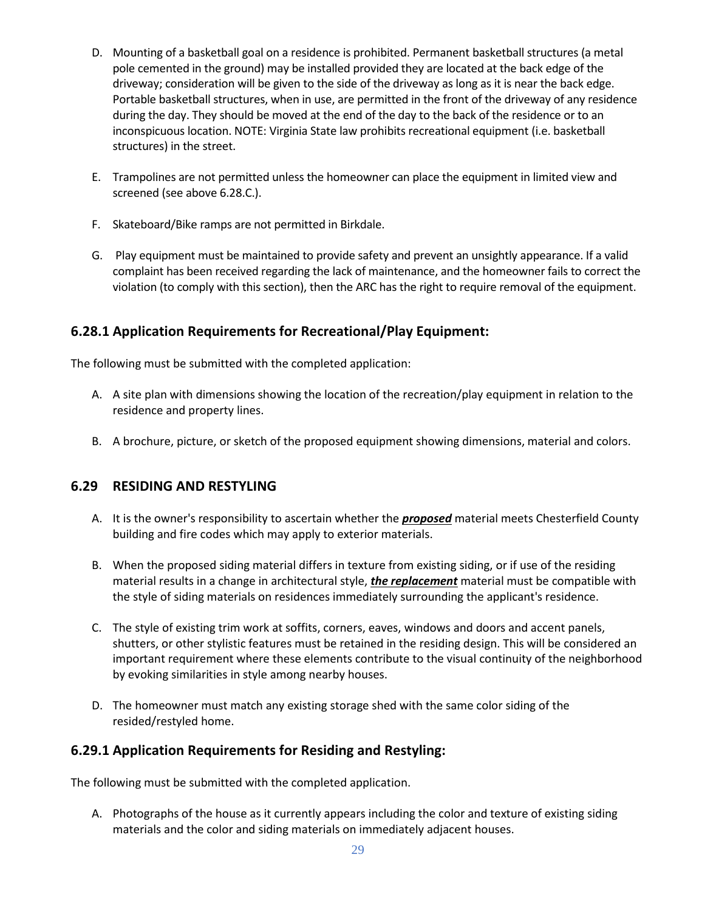- D. Mounting of a basketball goal on a residence is prohibited. Permanent basketball structures (a metal pole cemented in the ground) may be installed provided they are located at the back edge of the driveway; consideration will be given to the side of the driveway as long as it is near the back edge. Portable basketball structures, when in use, are permitted in the front of the driveway of any residence during the day. They should be moved at the end of the day to the back of the residence or to an inconspicuous location. NOTE: Virginia State law prohibits recreational equipment (i.e. basketball structures) in the street.
- E. Trampolines are not permitted unless the homeowner can place the equipment in limited view and screened (see above 6.28.C.).
- F. Skateboard/Bike ramps are not permitted in Birkdale.
- G. Play equipment must be maintained to provide safety and prevent an unsightly appearance. If a valid complaint has been received regarding the lack of maintenance, and the homeowner fails to correct the violation (to comply with this section), then the ARC has the right to require removal of the equipment.

## <span id="page-28-0"></span>**6.28.1 Application Requirements for Recreational/Play Equipment:**

The following must be submitted with the completed application:

- A. A site plan with dimensions showing the location of the recreation/play equipment in relation to the residence and property lines.
- B. A brochure, picture, or sketch of the proposed equipment showing dimensions, material and colors.

## <span id="page-28-1"></span>**6.29 RESIDING AND RESTYLING**

- A. It is the owner's responsibility to ascertain whether the *proposed* material meets Chesterfield County building and fire codes which may apply to exterior materials.
- B. When the proposed siding material differs in texture from existing siding, or if use of the residing material results in a change in architectural style, *the replacement* material must be compatible with the style of siding materials on residences immediately surrounding the applicant's residence.
- C. The style of existing trim work at soffits, corners, eaves, windows and doors and accent panels, shutters, or other stylistic features must be retained in the residing design. This will be considered an important requirement where these elements contribute to the visual continuity of the neighborhood by evoking similarities in style among nearby houses.
- D. The homeowner must match any existing storage shed with the same color siding of the resided/restyled home.

## <span id="page-28-2"></span>**6.29.1 Application Requirements for Residing and Restyling:**

The following must be submitted with the completed application.

A. Photographs of the house as it currently appears including the color and texture of existing siding materials and the color and siding materials on immediately adjacent houses.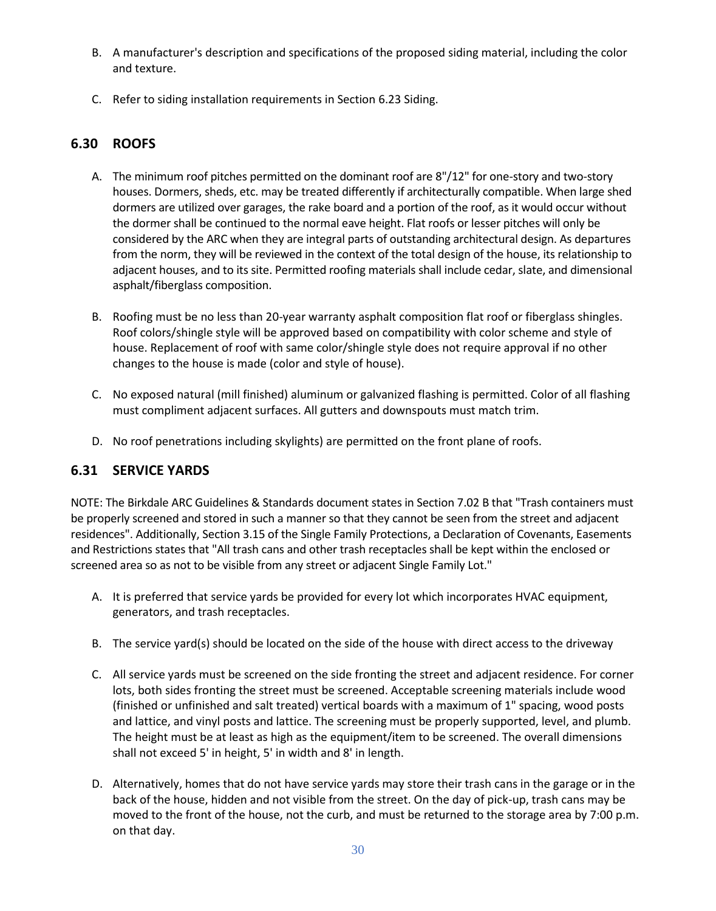- B. A manufacturer's description and specifications of the proposed siding material, including the color and texture.
- C. Refer to siding installation requirements in Section 6.23 Siding.

# <span id="page-29-0"></span>**6.30 ROOFS**

- A. The minimum roof pitches permitted on the dominant roof are 8"/12" for one-story and two-story houses. Dormers, sheds, etc. may be treated differently if architecturally compatible. When large shed dormers are utilized over garages, the rake board and a portion of the roof, as it would occur without the dormer shall be continued to the normal eave height. Flat roofs or lesser pitches will only be considered by the ARC when they are integral parts of outstanding architectural design. As departures from the norm, they will be reviewed in the context of the total design of the house, its relationship to adjacent houses, and to its site. Permitted roofing materials shall include cedar, slate, and dimensional asphalt/fiberglass composition.
- B. Roofing must be no less than 20-year warranty asphalt composition flat roof or fiberglass shingles. Roof colors/shingle style will be approved based on compatibility with color scheme and style of house. Replacement of roof with same color/shingle style does not require approval if no other changes to the house is made (color and style of house).
- C. No exposed natural (mill finished) aluminum or galvanized flashing is permitted. Color of all flashing must compliment adjacent surfaces. All gutters and downspouts must match trim.
- D. No roof penetrations including skylights) are permitted on the front plane of roofs.

## <span id="page-29-1"></span>**6.31 SERVICE YARDS**

NOTE: The Birkdale ARC Guidelines & Standards document states in Section 7.02 B that "Trash containers must be properly screened and stored in such a manner so that they cannot be seen from the street and adjacent residences". Additionally, Section 3.15 of the Single Family Protections, a Declaration of Covenants, Easements and Restrictions states that "All trash cans and other trash receptacles shall be kept within the enclosed or screened area so as not to be visible from any street or adjacent Single Family Lot."

- A. It is preferred that service yards be provided for every lot which incorporates HVAC equipment, generators, and trash receptacles.
- B. The service yard(s) should be located on the side of the house with direct access to the driveway
- C. All service yards must be screened on the side fronting the street and adjacent residence. For corner lots, both sides fronting the street must be screened. Acceptable screening materials include wood (finished or unfinished and salt treated) vertical boards with a maximum of 1" spacing, wood posts and lattice, and vinyl posts and lattice. The screening must be properly supported, level, and plumb. The height must be at least as high as the equipment/item to be screened. The overall dimensions shall not exceed 5' in height, 5' in width and 8' in length.
- D. Alternatively, homes that do not have service yards may store their trash cans in the garage or in the back of the house, hidden and not visible from the street. On the day of pick-up, trash cans may be moved to the front of the house, not the curb, and must be returned to the storage area by 7:00 p.m. on that day.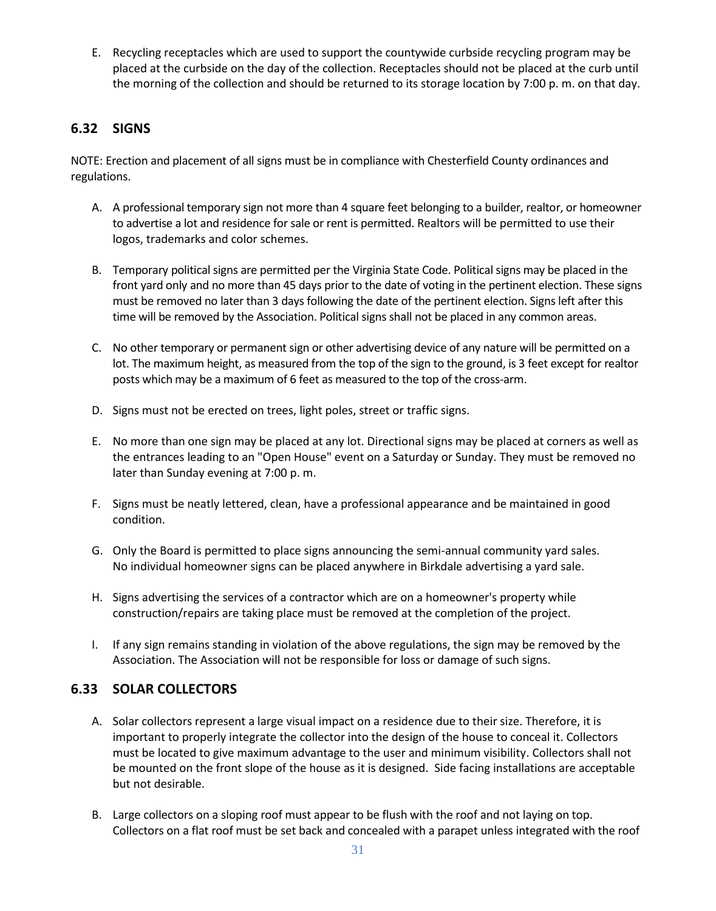E. Recycling receptacles which are used to support the countywide curbside recycling program may be placed at the curbside on the day of the collection. Receptacles should not be placed at the curb until the morning of the collection and should be returned to its storage location by 7:00 p. m. on that day.

## <span id="page-30-0"></span>**6.32 SIGNS**

NOTE: Erection and placement of all signs must be in compliance with Chesterfield County ordinances and regulations.

- A. A professional temporary sign not more than 4 square feet belonging to a builder, realtor, or homeowner to advertise a lot and residence for sale or rent is permitted. Realtors will be permitted to use their logos, trademarks and color schemes.
- B. Temporary political signs are permitted per the Virginia State Code. Political signs may be placed in the front yard only and no more than 45 days prior to the date of voting in the pertinent election. These signs must be removed no later than 3 days following the date of the pertinent election. Signs left after this time will be removed by the Association. Political signs shall not be placed in any common areas.
- C. No other temporary or permanent sign or other advertising device of any nature will be permitted on a lot. The maximum height, as measured from the top of the sign to the ground, is 3 feet except for realtor posts which may be a maximum of 6 feet as measured to the top of the cross-arm.
- D. Signs must not be erected on trees, light poles, street or traffic signs.
- E. No more than one sign may be placed at any lot. Directional signs may be placed at corners as well as the entrances leading to an "Open House" event on a Saturday or Sunday. They must be removed no later than Sunday evening at 7:00 p. m.
- F. Signs must be neatly lettered, clean, have a professional appearance and be maintained in good condition.
- G. Only the Board is permitted to place signs announcing the semi-annual community yard sales. No individual homeowner signs can be placed anywhere in Birkdale advertising a yard sale.
- H. Signs advertising the services of a contractor which are on a homeowner's property while construction/repairs are taking place must be removed at the completion of the project.
- I. If any sign remains standing in violation of the above regulations, the sign may be removed by the Association. The Association will not be responsible for loss or damage of such signs.

# <span id="page-30-1"></span>**6.33 SOLAR COLLECTORS**

- A. Solar collectors represent a large visual impact on a residence due to their size. Therefore, it is important to properly integrate the collector into the design of the house to conceal it. Collectors must be located to give maximum advantage to the user and minimum visibility. Collectors shall not be mounted on the front slope of the house as it is designed. Side facing installations are acceptable but not desirable.
- B. Large collectors on a sloping roof must appear to be flush with the roof and not laying on top. Collectors on a flat roof must be set back and concealed with a parapet unless integrated with the roof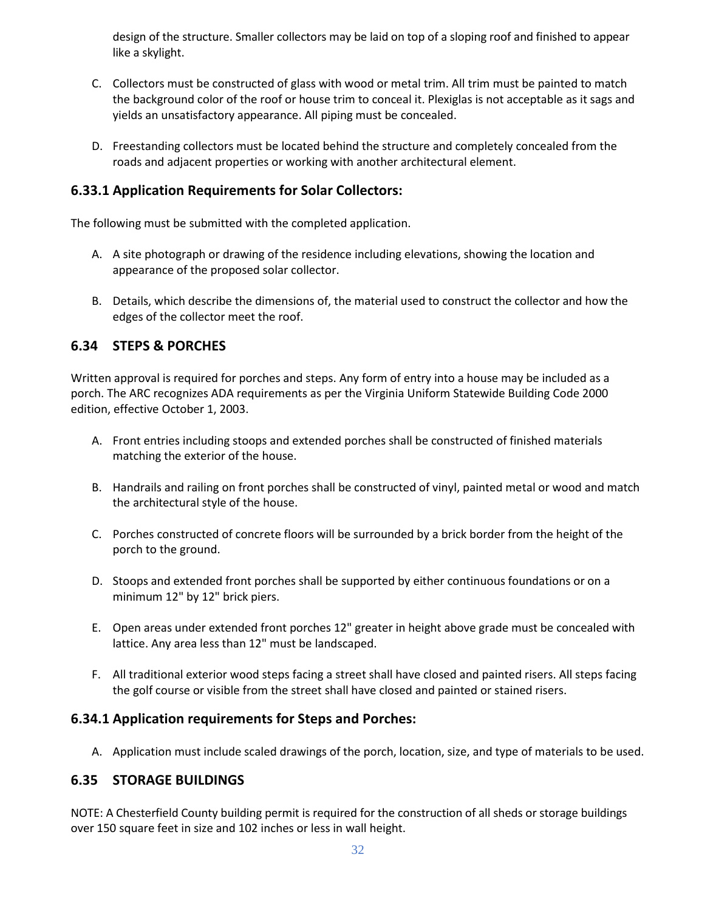design of the structure. Smaller collectors may be laid on top of a sloping roof and finished to appear like a skylight.

- C. Collectors must be constructed of glass with wood or metal trim. All trim must be painted to match the background color of the roof or house trim to conceal it. Plexiglas is not acceptable as it sags and yields an unsatisfactory appearance. All piping must be concealed.
- D. Freestanding collectors must be located behind the structure and completely concealed from the roads and adjacent properties or working with another architectural element.

## <span id="page-31-0"></span>**6.33.1 Application Requirements for Solar Collectors:**

The following must be submitted with the completed application.

- A. A site photograph or drawing of the residence including elevations, showing the location and appearance of the proposed solar collector.
- B. Details, which describe the dimensions of, the material used to construct the collector and how the edges of the collector meet the roof.

## <span id="page-31-1"></span>**6.34 STEPS & PORCHES**

Written approval is required for porches and steps. Any form of entry into a house may be included as a porch. The ARC recognizes ADA requirements as per the Virginia Uniform Statewide Building Code 2000 edition, effective October 1, 2003.

- A. Front entries including stoops and extended porches shall be constructed of finished materials matching the exterior of the house.
- B. Handrails and railing on front porches shall be constructed of vinyl, painted metal or wood and match the architectural style of the house.
- C. Porches constructed of concrete floors will be surrounded by a brick border from the height of the porch to the ground.
- D. Stoops and extended front porches shall be supported by either continuous foundations or on a minimum 12" by 12" brick piers.
- E. Open areas under extended front porches 12" greater in height above grade must be concealed with lattice. Any area less than 12" must be landscaped.
- F. All traditional exterior wood steps facing a street shall have closed and painted risers. All steps facing the golf course or visible from the street shall have closed and painted or stained risers.

## <span id="page-31-2"></span>**6.34.1 Application requirements for Steps and Porches:**

A. Application must include scaled drawings of the porch, location, size, and type of materials to be used.

## <span id="page-31-3"></span>**6.35 STORAGE BUILDINGS**

NOTE: A Chesterfield County building permit is required for the construction of all sheds or storage buildings over 150 square feet in size and 102 inches or less in wall height.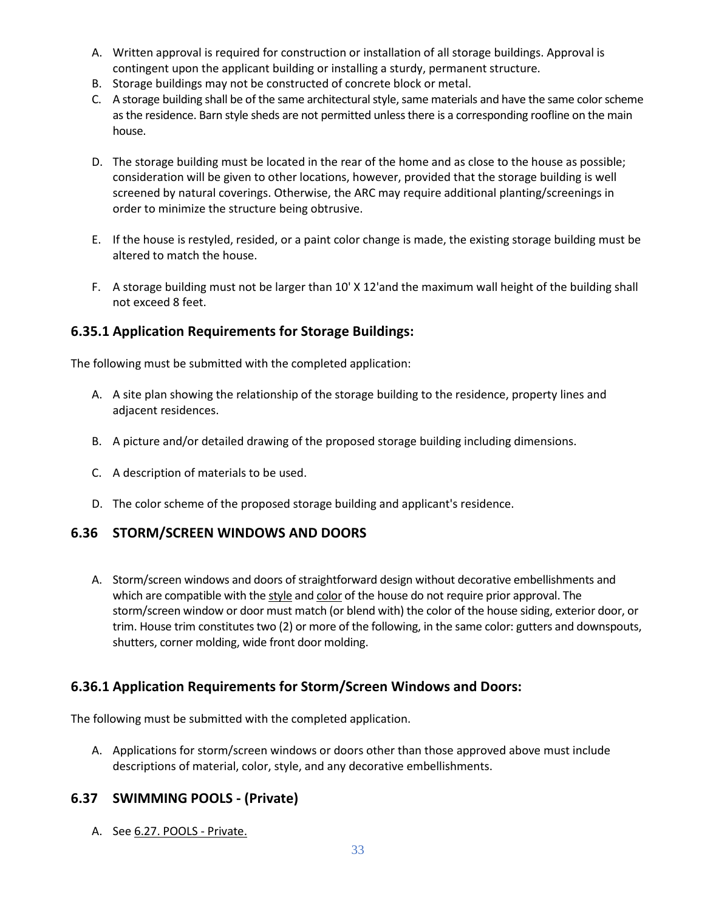- A. Written approval is required for construction or installation of all storage buildings. Approval is contingent upon the applicant building or installing a sturdy, permanent structure.
- B. Storage buildings may not be constructed of concrete block or metal.
- C. A storage building shall be of the same architectural style, same materials and have the same color scheme as the residence. Barn style sheds are not permitted unless there is a corresponding roofline on the main house.
- D. The storage building must be located in the rear of the home and as close to the house as possible; consideration will be given to other locations, however, provided that the storage building is well screened by natural coverings. Otherwise, the ARC may require additional planting/screenings in order to minimize the structure being obtrusive.
- E. If the house is restyled, resided, or a paint color change is made, the existing storage building must be altered to match the house.
- F. A storage building must not be larger than 10' X 12'and the maximum wall height of the building shall not exceed 8 feet.

## <span id="page-32-0"></span>**6.35.1 Application Requirements for Storage Buildings:**

The following must be submitted with the completed application:

- A. A site plan showing the relationship of the storage building to the residence, property lines and adjacent residences.
- B. A picture and/or detailed drawing of the proposed storage building including dimensions.
- C. A description of materials to be used.
- D. The color scheme of the proposed storage building and applicant's residence.

#### <span id="page-32-1"></span>**6.36 STORM/SCREEN WINDOWS AND DOORS**

A. Storm/screen windows and doors of straightforward design without decorative embellishments and which are compatible with the style and color of the house do not require prior approval. The storm/screen window or door must match (or blend with) the color of the house siding, exterior door, or trim. House trim constitutes two (2) or more of the following, in the same color: gutters and downspouts, shutters, corner molding, wide front door molding.

#### <span id="page-32-2"></span>**6.36.1 Application Requirements for Storm/Screen Windows and Doors:**

The following must be submitted with the completed application.

A. Applications for storm/screen windows or doors other than those approved above must include descriptions of material, color, style, and any decorative embellishments.

#### <span id="page-32-3"></span>**6.37 SWIMMING POOLS - (Private)**

A. See 6.27. POOLS - Private.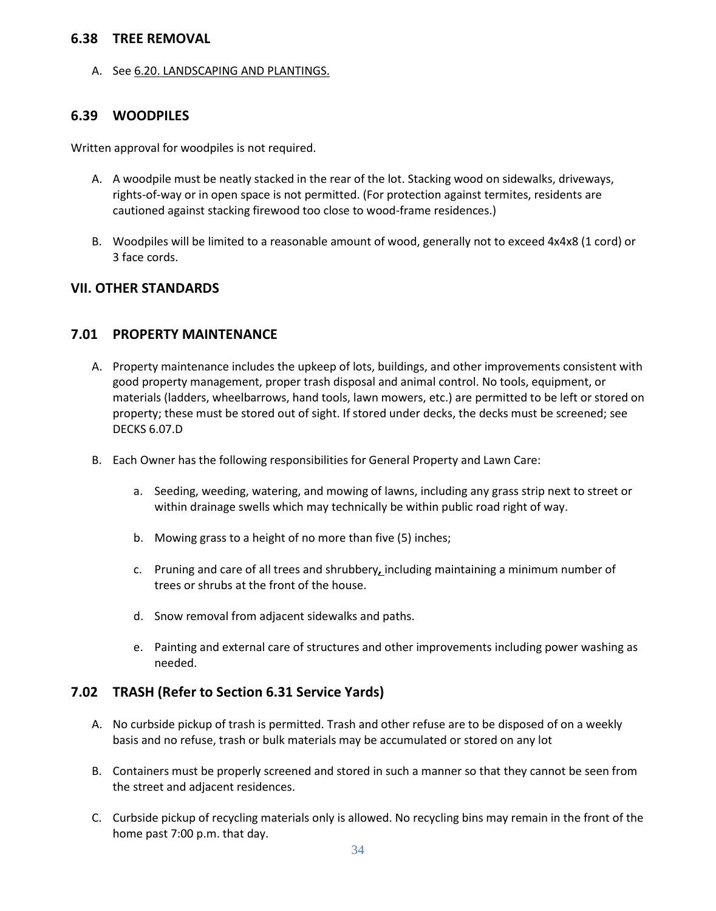#### <span id="page-33-0"></span>**6.38 TREE REMOVAL**

A. See 6.20. LANDSCAPING AND PLANTINGS.

#### <span id="page-33-1"></span>**6.39 WOODPILES**

Written approval for woodpiles is not required.

- A. A woodpile must be neatly stacked in the rear of the lot. Stacking wood on sidewalks, driveways, rights-of-way or in open space is not permitted. (For protection against termites, residents are cautioned against stacking firewood too close to wood-frame residences.)
- B. Woodpiles will be limited to a reasonable amount of wood, generally not to exceed 4x4x8 (1 cord) or 3 face cords.

#### <span id="page-33-2"></span>**VII. OTHER STANDARDS**

#### <span id="page-33-3"></span>**7.01 PROPERTY MAINTENANCE**

- A. Property maintenance includes the upkeep of lots, buildings, and other improvements consistent with good property management, proper trash disposal and animal control. No tools, equipment, or materials (ladders, wheelbarrows, hand tools, lawn mowers, etc.) are permitted to be left or stored on property; these must be stored out of sight. If stored under decks, the decks must be screened; see DECKS 6.07.D
- B. Each Owner has the following responsibilities for General Property and Lawn Care:
	- a. Seeding, weeding, watering, and mowing of lawns, including any grass strip next to street or within drainage swells which may technically be within public road right of way.
	- b. Mowing grass to a height of no more than five (5) inches;
	- c. Pruning and care of all trees and shrubbery*,* including maintaining a minimum number of trees or shrubs at the front of the house.
	- d. Snow removal from adjacent sidewalks and paths.
	- e. Painting and external care of structures and other improvements including power washing as needed.

#### <span id="page-33-4"></span>**7.02 TRASH (Refer to Section 6.31 Service Yards)**

- A. No curbside pickup of trash is permitted. Trash and other refuse are to be disposed of on a weekly basis and no refuse, trash or bulk materials may be accumulated or stored on any lot
- B. Containers must be properly screened and stored in such a manner so that they cannot be seen from the street and adjacent residences.
- C. Curbside pickup of recycling materials only is allowed. No recycling bins may remain in the front of the home past 7:00 p.m. that day.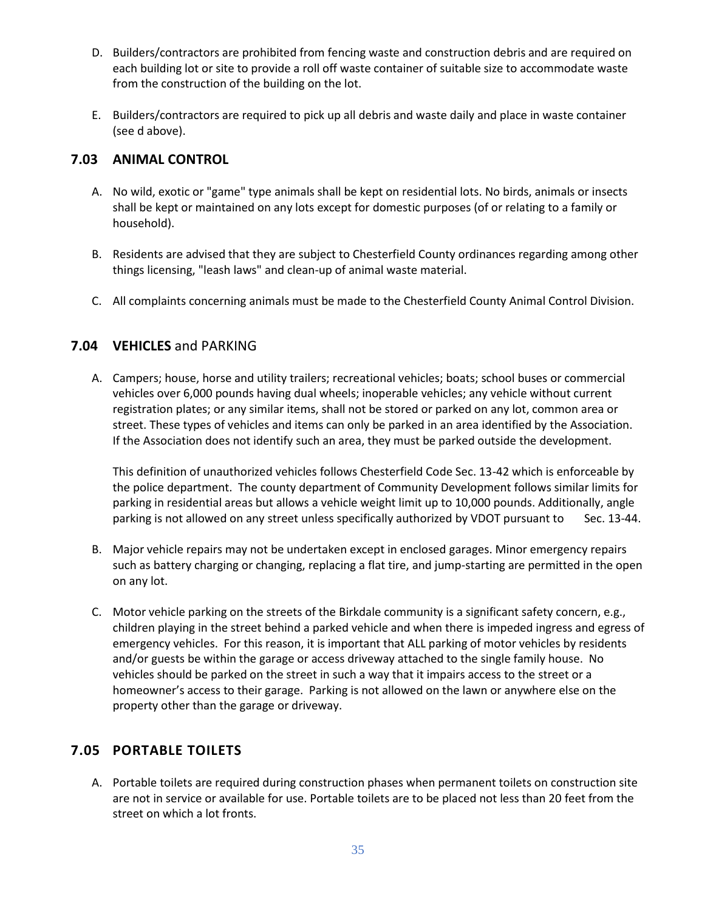- D. Builders/contractors are prohibited from fencing waste and construction debris and are required on each building lot or site to provide a roll off waste container of suitable size to accommodate waste from the construction of the building on the lot.
- E. Builders/contractors are required to pick up all debris and waste daily and place in waste container (see d above).

## <span id="page-34-0"></span>**7.03 ANIMAL CONTROL**

- A. No wild, exotic or "game" type animals shall be kept on residential lots. No birds, animals or insects shall be kept or maintained on any lots except for domestic purposes (of or relating to a family or household).
- B. Residents are advised that they are subject to Chesterfield County ordinances regarding among other things licensing, "leash laws" and clean-up of animal waste material.
- C. All complaints concerning animals must be made to the Chesterfield County Animal Control Division.

## <span id="page-34-1"></span>**7.04 VEHICLES** and PARKING

A. Campers; house, horse and utility trailers; recreational vehicles; boats; school buses or commercial vehicles over 6,000 pounds having dual wheels; inoperable vehicles; any vehicle without current registration plates; or any similar items, shall not be stored or parked on any lot, common area or street. These types of vehicles and items can only be parked in an area identified by the Association. If the Association does not identify such an area, they must be parked outside the development.

This definition of unauthorized vehicles follows Chesterfield Code Sec. 13-42 which is enforceable by the police department. The county department of Community Development follows similar limits for parking in residential areas but allows a vehicle weight limit up to 10,000 pounds. Additionally, angle parking is not allowed on any street unless specifically authorized by VDOT pursuant to Sec. 13-44.

- B. Major vehicle repairs may not be undertaken except in enclosed garages. Minor emergency repairs such as battery charging or changing, replacing a flat tire, and jump-starting are permitted in the open on any lot.
- C. Motor vehicle parking on the streets of the Birkdale community is a significant safety concern, e.g., children playing in the street behind a parked vehicle and when there is impeded ingress and egress of emergency vehicles. For this reason, it is important that ALL parking of motor vehicles by residents and/or guests be within the garage or access driveway attached to the single family house. No vehicles should be parked on the street in such a way that it impairs access to the street or a homeowner's access to their garage. Parking is not allowed on the lawn or anywhere else on the property other than the garage or driveway.

# <span id="page-34-2"></span>**7.05 PORTABLE TOILETS**

A. Portable toilets are required during construction phases when permanent toilets on construction site are not in service or available for use. Portable toilets are to be placed not less than 20 feet from the street on which a lot fronts.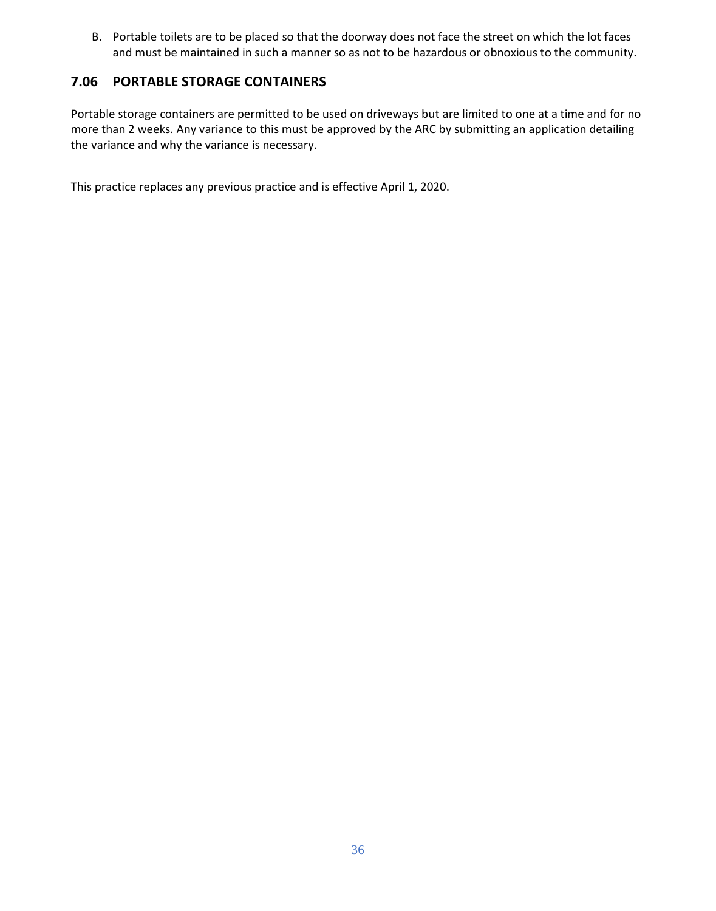B. Portable toilets are to be placed so that the doorway does not face the street on which the lot faces and must be maintained in such a manner so as not to be hazardous or obnoxious to the community.

## <span id="page-35-0"></span>**7.06 PORTABLE STORAGE CONTAINERS**

Portable storage containers are permitted to be used on driveways but are limited to one at a time and for no more than 2 weeks. Any variance to this must be approved by the ARC by submitting an application detailing the variance and why the variance is necessary.

This practice replaces any previous practice and is effective April 1, 2020.